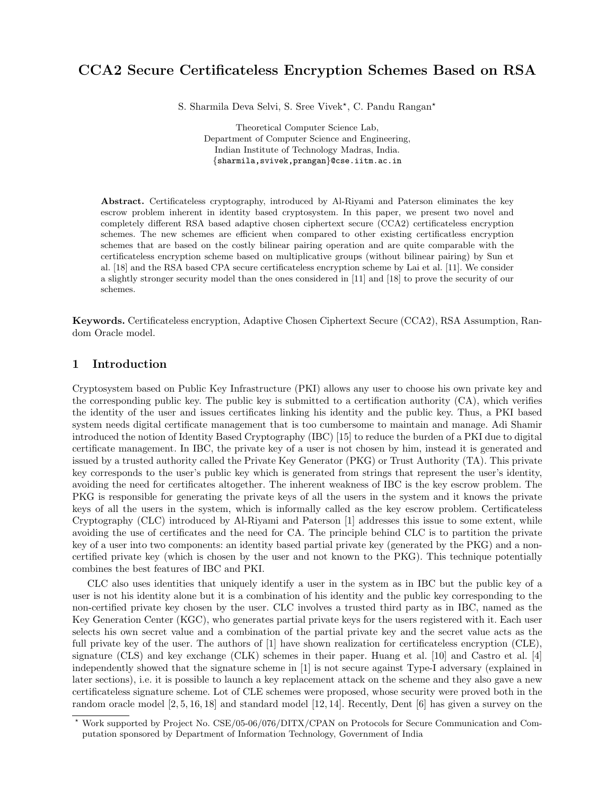# CCA2 Secure Certificateless Encryption Schemes Based on RSA

S. Sharmila Deva Selvi, S. Sree Vivek<sup>\*</sup>, C. Pandu Rangan<sup>\*</sup>

Theoretical Computer Science Lab, Department of Computer Science and Engineering, Indian Institute of Technology Madras, India. *{*sharmila,svivek,prangan*}*@cse.iitm.ac.in

Abstract. Certificateless cryptography, introduced by Al-Riyami and Paterson eliminates the key escrow problem inherent in identity based cryptosystem. In this paper, we present two novel and completely different RSA based adaptive chosen ciphertext secure (CCA2) certificateless encryption schemes. The new schemes are efficient when compared to other existing certificatless encryption schemes that are based on the costly bilinear pairing operation and are quite comparable with the certificateless encryption scheme based on multiplicative groups (without bilinear pairing) by Sun et al. [18] and the RSA based CPA secure certificateless encryption scheme by Lai et al. [11]. We consider a slightly stronger security model than the ones considered in [11] and [18] to prove the security of our schemes.

Keywords. Certificateless encryption, Adaptive Chosen Ciphertext Secure (CCA2), RSA Assumption, Random Oracle model.

# 1 Introduction

Cryptosystem based on Public Key Infrastructure (PKI) allows any user to choose his own private key and the corresponding public key. The public key is submitted to a certification authority (CA), which verifies the identity of the user and issues certificates linking his identity and the public key. Thus, a PKI based system needs digital certificate management that is too cumbersome to maintain and manage. Adi Shamir introduced the notion of Identity Based Cryptography (IBC) [15] to reduce the burden of a PKI due to digital certificate management. In IBC, the private key of a user is not chosen by him, instead it is generated and issued by a trusted authority called the Private Key Generator (PKG) or Trust Authority (TA). This private key corresponds to the user's public key which is generated from strings that represent the user's identity, avoiding the need for certificates altogether. The inherent weakness of IBC is the key escrow problem. The PKG is responsible for generating the private keys of all the users in the system and it knows the private keys of all the users in the system, which is informally called as the key escrow problem. Certificateless Cryptography (CLC) introduced by Al-Riyami and Paterson [1] addresses this issue to some extent, while avoiding the use of certificates and the need for CA. The principle behind CLC is to partition the private key of a user into two components: an identity based partial private key (generated by the PKG) and a noncertified private key (which is chosen by the user and not known to the PKG). This technique potentially combines the best features of IBC and PKI.

CLC also uses identities that uniquely identify a user in the system as in IBC but the public key of a user is not his identity alone but it is a combination of his identity and the public key corresponding to the non-certified private key chosen by the user. CLC involves a trusted third party as in IBC, named as the Key Generation Center (KGC), who generates partial private keys for the users registered with it. Each user selects his own secret value and a combination of the partial private key and the secret value acts as the full private key of the user. The authors of [1] have shown realization for certificateless encryption (CLE), signature (CLS) and key exchange (CLK) schemes in their paper. Huang et al. [10] and Castro et al. [4] independently showed that the signature scheme in [1] is not secure against Type-I adversary (explained in later sections), i.e. it is possible to launch a key replacement attack on the scheme and they also gave a new certificateless signature scheme. Lot of CLE schemes were proposed, whose security were proved both in the random oracle model [2, 5, 16, 18] and standard model [12, 14]. Recently, Dent [6] has given a survey on the

<sup>!</sup> Work supported by Project No. CSE/05-06/076/DITX/CPAN on Protocols for Secure Communication and Computation sponsored by Department of Information Technology, Government of India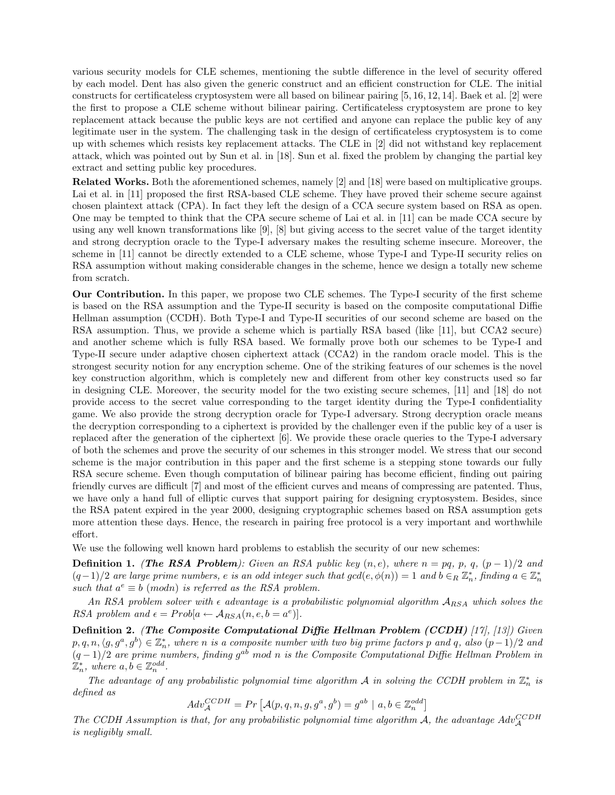various security models for CLE schemes, mentioning the subtle difference in the level of security offered by each model. Dent has also given the generic construct and an efficient construction for CLE. The initial constructs for certificateless cryptosystem were all based on bilinear pairing [5, 16, 12, 14]. Baek et al. [2] were the first to propose a CLE scheme without bilinear pairing. Certificateless cryptosystem are prone to key replacement attack because the public keys are not certified and anyone can replace the public key of any legitimate user in the system. The challenging task in the design of certificateless cryptosystem is to come up with schemes which resists key replacement attacks. The CLE in [2] did not withstand key replacement attack, which was pointed out by Sun et al. in [18]. Sun et al. fixed the problem by changing the partial key extract and setting public key procedures.

Related Works. Both the aforementioned schemes, namely [2] and [18] were based on multiplicative groups. Lai et al. in [11] proposed the first RSA-based CLE scheme. They have proved their scheme secure against chosen plaintext attack (CPA). In fact they left the design of a CCA secure system based on RSA as open. One may be tempted to think that the CPA secure scheme of Lai et al. in [11] can be made CCA secure by using any well known transformations like [9], [8] but giving access to the secret value of the target identity and strong decryption oracle to the Type-I adversary makes the resulting scheme insecure. Moreover, the scheme in [11] cannot be directly extended to a CLE scheme, whose Type-I and Type-II security relies on RSA assumption without making considerable changes in the scheme, hence we design a totally new scheme from scratch.

Our Contribution. In this paper, we propose two CLE schemes. The Type-I security of the first scheme is based on the RSA assumption and the Type-II security is based on the composite computational Diffie Hellman assumption (CCDH). Both Type-I and Type-II securities of our second scheme are based on the RSA assumption. Thus, we provide a scheme which is partially RSA based (like [11], but CCA2 secure) and another scheme which is fully RSA based. We formally prove both our schemes to be Type-I and Type-II secure under adaptive chosen ciphertext attack (CCA2) in the random oracle model. This is the strongest security notion for any encryption scheme. One of the striking features of our schemes is the novel key construction algorithm, which is completely new and different from other key constructs used so far in designing CLE. Moreover, the security model for the two existing secure schemes, [11] and [18] do not provide access to the secret value corresponding to the target identity during the Type-I confidentiality game. We also provide the strong decryption oracle for Type-I adversary. Strong decryption oracle means the decryption corresponding to a ciphertext is provided by the challenger even if the public key of a user is replaced after the generation of the ciphertext [6]. We provide these oracle queries to the Type-I adversary of both the schemes and prove the security of our schemes in this stronger model. We stress that our second scheme is the major contribution in this paper and the first scheme is a stepping stone towards our fully RSA secure scheme. Even though computation of bilinear pairing has become efficient, finding out pairing friendly curves are difficult [7] and most of the efficient curves and means of compressing are patented. Thus, we have only a hand full of elliptic curves that support pairing for designing cryptosystem. Besides, since the RSA patent expired in the year 2000, designing cryptographic schemes based on RSA assumption gets more attention these days. Hence, the research in pairing free protocol is a very important and worthwhile effort.

We use the following well known hard problems to establish the security of our new schemes:

**Definition 1.** (The RSA Problem): Given an RSA public key  $(n, e)$ , where  $n = pq$ , p, q,  $(p - 1)/2$  and  $(q-1)/2$  are large prime numbers, e is an odd integer such that  $gcd(e, \phi(n)) = 1$  and  $b \in_R \mathbb{Z}_n^*$ , finding  $a \in \mathbb{Z}_n^*$ such that  $a^e \equiv b \pmod{n}$  is referred as the RSA problem.

An RSA problem solver with  $\epsilon$  advantage is a probabilistic polynomial algorithm  $A_{RSA}$  which solves the RSA problem and  $\epsilon = Prob[a \leftarrow A_{RSA}(n, e, b = a^e)].$ 

Definition 2. (The Composite Computational Diffie Hellman Problem (CCDH) [17], [13]) Given  $p, q, n, \langle g, g^a, g^b \rangle \in \mathbb{Z}_n^*$ , where n is a composite number with two big prime factors p and q, also  $(p-1)/2$  and  $(q-1)/2$  are prime numbers, finding g<sup>ab</sup> mod n is the Composite Computational Diffie Hellman Problem in  $\mathbb{Z}_n^*$ , where  $a, b \in \mathbb{Z}_n^{odd}$ .

The advantage of any probabilistic polynomial time algorithm A in solving the CCDH problem in  $\mathbb{Z}_n^*$  is defined as

$$
Adv_{\mathcal{A}}^{CCDH} = Pr\left[\mathcal{A}(p,q,n,g,g^a,g^b) = g^{ab} \mid a, b \in \mathbb{Z}_n^{odd}\right]
$$

The CCDH Assumption is that, for any probabilistic polynomial time algorithm A, the advantage  $Adv_{\mathcal{A}}^{CCDH}$ is negligibly small.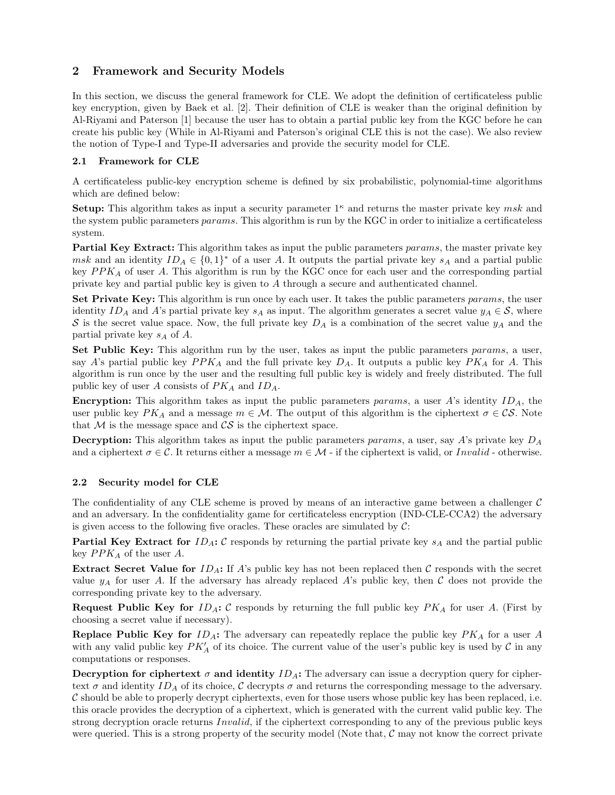# 2 Framework and Security Models

In this section, we discuss the general framework for CLE. We adopt the definition of certificateless public key encryption, given by Baek et al. [2]. Their definition of CLE is weaker than the original definition by Al-Riyami and Paterson [1] because the user has to obtain a partial public key from the KGC before he can create his public key (While in Al-Riyami and Paterson's original CLE this is not the case). We also review the notion of Type-I and Type-II adversaries and provide the security model for CLE.

# 2.1 Framework for CLE

A certificateless public-key encryption scheme is defined by six probabilistic, polynomial-time algorithms which are defined below:

**Setup:** This algorithm takes as input a security parameter  $1^{\kappa}$  and returns the master private key msk and the system public parameters params. This algorithm is run by the KGC in order to initialize a certificateless system.

Partial Key Extract: This algorithm takes as input the public parameters params, the master private key msk and an identity  $ID_A \in \{0,1\}^*$  of a user A. It outputs the partial private key  $s_A$  and a partial public key  $PPK_A$  of user A. This algorithm is run by the KGC once for each user and the corresponding partial private key and partial public key is given to A through a secure and authenticated channel.

Set Private Key: This algorithm is run once by each user. It takes the public parameters params, the user identity ID<sub>A</sub> and A's partial private key s<sub>A</sub> as input. The algorithm generates a secret value  $y_A \in S$ , where S is the secret value space. Now, the full private key  $D_A$  is a combination of the secret value  $y_A$  and the partial private key  $s_A$  of A.

Set Public Key: This algorithm run by the user, takes as input the public parameters params, a user, say A's partial public key  $PPK_A$  and the full private key  $D_A$ . It outputs a public key  $PK_A$  for A. This algorithm is run once by the user and the resulting full public key is widely and freely distributed. The full public key of user A consists of  $PK_A$  and  $ID_A$ .

**Encryption:** This algorithm takes as input the public parameters params, a user A's identity  $ID_A$ , the user public key  $PK_A$  and a message  $m \in \mathcal{M}$ . The output of this algorithm is the ciphertext  $\sigma \in \mathcal{CS}$ . Note that  $M$  is the message space and  $\mathcal{CS}$  is the ciphertext space.

**Decryption:** This algorithm takes as input the public parameters params, a user, say A's private key  $D_A$ and a ciphertext  $\sigma \in \mathcal{C}$ . It returns either a message  $m \in \mathcal{M}$  - if the ciphertext is valid, or Invalid - otherwise.

### 2.2 Security model for CLE

The confidentiality of any CLE scheme is proved by means of an interactive game between a challenger  $\mathcal C$ and an adversary. In the confidentiality game for certificateless encryption (IND-CLE-CCA2) the adversary is given access to the following five oracles. These oracles are simulated by  $\mathcal{C}$ :

**Partial Key Extract for**  $ID_A$ : C responds by returning the partial private key  $s_A$  and the partial public key  $PPK_A$  of the user A.

**Extract Secret Value for**  $ID_A$ : If A's public key has not been replaced then C responds with the secret value  $y_A$  for user A. If the adversary has already replaced A's public key, then C does not provide the corresponding private key to the adversary.

**Request Public Key for**  $ID_A$ :  $C$  responds by returning the full public key  $PK_A$  for user A. (First by choosing a secret value if necessary).

**Replace Public Key for**  $ID_A$ : The adversary can repeatedly replace the public key  $PK_A$  for a user A with any valid public key  $PK'_{A}$  of its choice. The current value of the user's public key is used by  $C$  in any computations or responses.

Decryption for ciphertext  $\sigma$  and identity  $ID_A$ : The adversary can issue a decryption query for ciphertext  $\sigma$  and identity ID<sub>A</sub> of its choice, C decrypts  $\sigma$  and returns the corresponding message to the adversary.  $\mathcal C$  should be able to properly decrypt ciphertexts, even for those users whose public key has been replaced, i.e. this oracle provides the decryption of a ciphertext, which is generated with the current valid public key. The strong decryption oracle returns Invalid, if the ciphertext corresponding to any of the previous public keys were queried. This is a strong property of the security model (Note that,  $\mathcal C$  may not know the correct private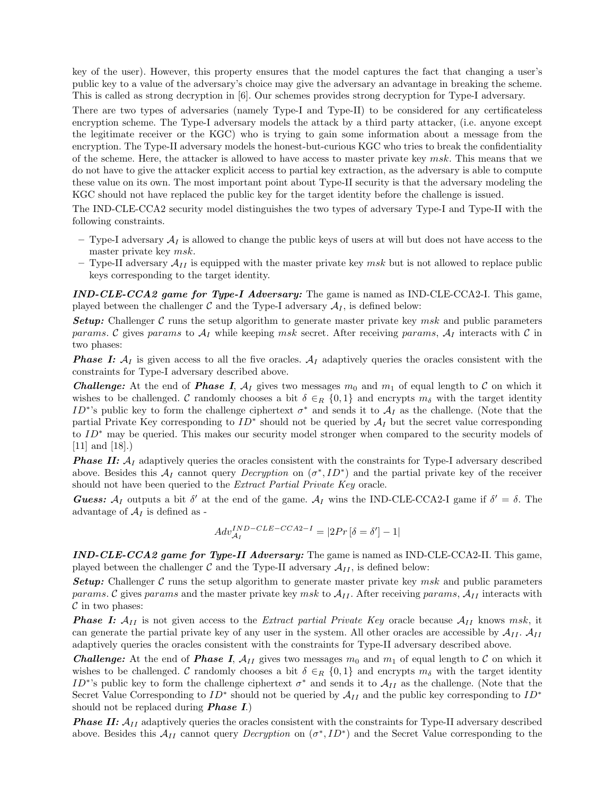key of the user). However, this property ensures that the model captures the fact that changing a user's public key to a value of the adversary's choice may give the adversary an advantage in breaking the scheme. This is called as strong decryption in [6]. Our schemes provides strong decryption for Type-I adversary.

There are two types of adversaries (namely Type-I and Type-II) to be considered for any certificateless encryption scheme. The Type-I adversary models the attack by a third party attacker, (i.e. anyone except the legitimate receiver or the KGC) who is trying to gain some information about a message from the encryption. The Type-II adversary models the honest-but-curious KGC who tries to break the confidentiality of the scheme. Here, the attacker is allowed to have access to master private key  $msk$ . This means that we do not have to give the attacker explicit access to partial key extraction, as the adversary is able to compute these value on its own. The most important point about Type-II security is that the adversary modeling the KGC should not have replaced the public key for the target identity before the challenge is issued.

The IND-CLE-CCA2 security model distinguishes the two types of adversary Type-I and Type-II with the following constraints.

- $-$  Type-I adversary  $\mathcal{A}_I$  is allowed to change the public keys of users at will but does not have access to the master private key msk.
- Type-II adversary  $\mathcal{A}_{II}$  is equipped with the master private key msk but is not allowed to replace public keys corresponding to the target identity.

 $IND-CLE-CCA2$  game for Type-I Adversary: The game is named as IND-CLE-CCA2-I. This game, played between the challenger  $\mathcal C$  and the Type-I adversary  $\mathcal A_I$ , is defined below:

**Setup:** Challenger C runs the setup algorithm to generate master private key msk and public parameters params. C gives params to  $A_I$  while keeping msk secret. After receiving params,  $A_I$  interacts with C in two phases:

**Phase I:**  $A_I$  is given access to all the five oracles.  $A_I$  adaptively queries the oracles consistent with the constraints for Type-I adversary described above.

**Challenge:** At the end of **Phase I**,  $A_I$  gives two messages  $m_0$  and  $m_1$  of equal length to C on which it wishes to be challenged. C randomly chooses a bit  $\delta \in_R \{0,1\}$  and encrypts  $m_\delta$  with the target identity ID<sup>∗</sup>'s public key to form the challenge ciphertext  $\sigma^*$  and sends it to  $\mathcal{A}_I$  as the challenge. (Note that the partial Private Key corresponding to  $ID^*$  should not be queried by  $\mathcal{A}_I$  but the secret value corresponding to ID<sup>∗</sup> may be queried. This makes our security model stronger when compared to the security models of [11] and [18].)

**Phase II:**  $A_I$  adaptively queries the oracles consistent with the constraints for Type-I adversary described above. Besides this  $\mathcal{A}_I$  cannot query *Decryption* on  $(\sigma^*, ID^*)$  and the partial private key of the receiver should not have been queried to the Extract Partial Private Key oracle.

**Guess:**  $A_I$  outputs a bit  $\delta'$  at the end of the game.  $A_I$  wins the IND-CLE-CCA2-I game if  $\delta' = \delta$ . The advantage of  $A_I$  is defined as -

$$
Adv_{\mathcal{A}_{I}}^{IND-CLE-CCA2-I} = |2Pr\left[\delta = \delta'\right] - 1|
$$

IND-CLE-CCA2 game for Type-II Adversary: The game is named as IND-CLE-CCA2-II. This game, played between the challenger  $\mathcal C$  and the Type-II adversary  $\mathcal A_{II}$ , is defined below:

**Setup:** Challenger C runs the setup algorithm to generate master private key  $msk$  and public parameters params. C gives params and the master private key msk to  $A_{II}$ . After receiving params,  $A_{II}$  interacts with  $\mathcal C$  in two phases:

**Phase I:**  $A_{II}$  is not given access to the *Extract partial Private Key* oracle because  $A_{II}$  knows msk, it can generate the partial private key of any user in the system. All other oracles are accessible by  $\mathcal{A}_{II}$ .  $\mathcal{A}_{II}$ adaptively queries the oracles consistent with the constraints for Type-II adversary described above.

**Challenge:** At the end of **Phase I**,  $A_{II}$  gives two messages  $m_0$  and  $m_1$  of equal length to C on which it wishes to be challenged. C randomly chooses a bit  $\delta \in_R \{0,1\}$  and encrypts  $m_\delta$  with the target identity ID<sup>∗</sup>'s public key to form the challenge ciphertext  $\sigma^*$  and sends it to  $\mathcal{A}_{II}$  as the challenge. (Note that the Secret Value Corresponding to  $ID^*$  should not be queried by  $\mathcal{A}_{II}$  and the public key corresponding to  $ID^*$ should not be replaced during **Phase I.**)

**Phase II:**  $A_{II}$  adaptively queries the oracles consistent with the constraints for Type-II adversary described above. Besides this  $\mathcal{A}_{II}$  cannot query *Decryption* on  $(\sigma^*, ID^*)$  and the Secret Value corresponding to the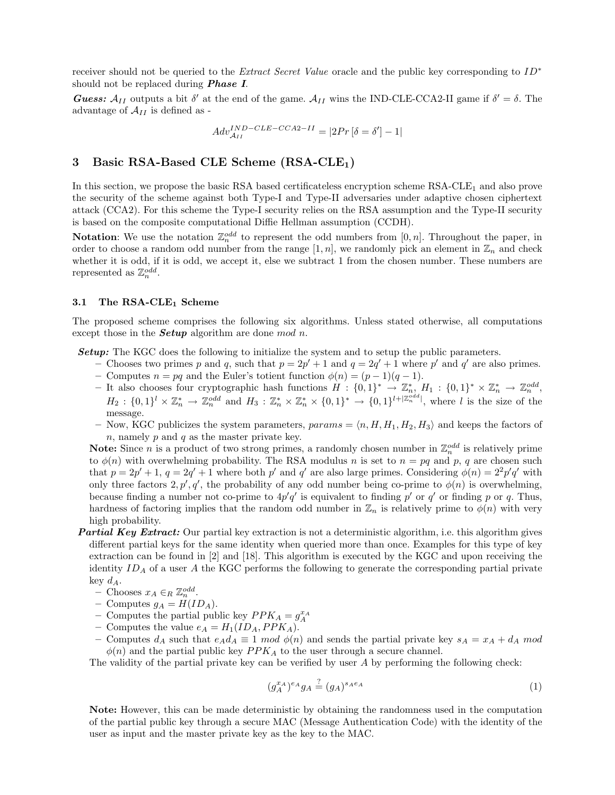receiver should not be queried to the Extract Secret Value oracle and the public key corresponding to ID<sup>∗</sup> should not be replaced during **Phase I**.

**Guess:**  $A_{II}$  outputs a bit  $\delta'$  at the end of the game.  $A_{II}$  wins the IND-CLE-CCA2-II game if  $\delta' = \delta$ . The advantage of  $\mathcal{A}_{II}$  is defined as -

$$
Adv_{\mathcal{A}_{II}}^{IND-CLE-CCA2-II} = |2Pr[\delta = \delta'] - 1|
$$

# 3 Basic RSA-Based CLE Scheme (RSA-CLE<sub>1</sub>)

In this section, we propose the basic RSA based certificateless encryption scheme  $RSA-CLE<sub>1</sub>$  and also prove the security of the scheme against both Type-I and Type-II adversaries under adaptive chosen ciphertext attack (CCA2). For this scheme the Type-I security relies on the RSA assumption and the Type-II security is based on the composite computational Diffie Hellman assumption (CCDH).

**Notation:** We use the notation  $\mathbb{Z}_n^{odd}$  to represent the odd numbers from  $[0, n]$ . Throughout the paper, in order to choose a random odd number from the range  $[1, n]$ , we randomly pick an element in  $\mathbb{Z}_n$  and check whether it is odd, if it is odd, we accept it, else we subtract 1 from the chosen number. These numbers are represented as  $\mathbb{Z}_n^{odd}$ .

#### 3.1 The RSA-CLE<sub>1</sub> Scheme

The proposed scheme comprises the following six algorithms. Unless stated otherwise, all computations except those in the **Setup** algorithm are done mod n.

**Setup:** The KGC does the following to initialize the system and to setup the public parameters.

- Chooses two primes p and q, such that  $p = 2p' + 1$  and  $q = 2q' + 1$  where p' and q' are also primes.
- Computes  $n = pq$  and the Euler's totient function  $\phi(n) = (p-1)(q-1)$ .
- $-$  It also chooses four cryptographic hash functions  $H: \{0,1\}^* \to \mathbb{Z}_n^*, H_1: \{0,1\}^* \times \mathbb{Z}_n^* \to \mathbb{Z}_n^{odd}$  $H_2: \{0,1\}^l \times \mathbb{Z}_n^* \to \mathbb{Z}_n^{odd}$  and  $H_3: \mathbb{Z}_n^* \times \mathbb{Z}_n^* \times \{0,1\}^* \to \{0,1\}^{l+|\mathbb{Z}_n^{odd}|}$ , where l is the size of the message.
- Now, KGC publicizes the system parameters,  $params = \langle n, H, H_1, H_2, H_3 \rangle$  and keeps the factors of  $n$ , namely  $p$  and  $q$  as the master private key.

**Note:** Since *n* is a product of two strong primes, a randomly chosen number in  $\mathbb{Z}_n^{odd}$  is relatively prime to  $\phi(n)$  with overwhelming probability. The RSA modulus n is set to  $n = pq$  and p, q are chosen such that  $p = 2p' + 1$ ,  $q = 2q' + 1$  where both  $p'$  and  $q'$  are also large primes. Considering  $\phi(n) = 2^2p'q'$  with only three factors  $2, p', q'$ , the probability of any odd number being co-prime to  $\phi(n)$  is overwhelming, because finding a number not co-prime to  $4p'q'$  is equivalent to finding p' or q' or finding p or q. Thus, hardness of factoring implies that the random odd number in  $\mathbb{Z}_n$  is relatively prime to  $\phi(n)$  with very high probability.

- **Partial Key Extract:** Our partial key extraction is not a deterministic algorithm, i.e. this algorithm gives different partial keys for the same identity when queried more than once. Examples for this type of key extraction can be found in [2] and [18]. This algorithm is executed by the KGC and upon receiving the identity  $ID_A$  of a user A the KGC performs the following to generate the corresponding partial private key  $d_A$ .
	- Chooses  $x_A \in_R \mathbb{Z}_n^{odd}$ .
	- Computes  $g_A = H(ID_A)$ .
	- Computes the partial public key  $PPK_A = g_A^{x_A}$
	- Computes the value  $e_A = H_1(ID_A, PPK_A)$ .
	- Computes  $d_A$  such that  $e_A d_A \equiv 1 \mod \phi(n)$  and sends the partial private key  $s_A = x_A + d_A \mod$  $\phi(n)$  and the partial public key  $PPK_A$  to the user through a secure channel.

The validity of the partial private key can be verified by user A by performing the following check:

$$
(g_A^{x_A})^{e_A} g_A \stackrel{?}{=} (g_A)^{s_A e_A} \tag{1}
$$

Note: However, this can be made deterministic by obtaining the randomness used in the computation of the partial public key through a secure MAC (Message Authentication Code) with the identity of the user as input and the master private key as the key to the MAC.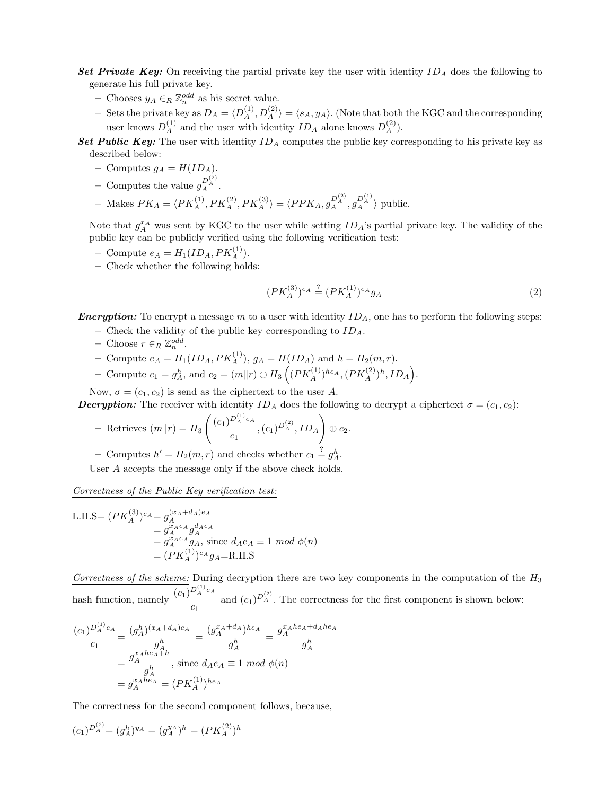- Set Private Key: On receiving the partial private key the user with identity  $ID_A$  does the following to generate his full private key.
	- Chooses  $y_A \in_R \mathbb{Z}_n^{odd}$  as his secret value.
	- Sets the private key as  $D_A = \langle D_A^{(1)}, D_A^{(2)} \rangle = \langle s_A, y_A \rangle$ . (Note that both the KGC and the corresponding user knows  $D_A^{(1)}$  and the user with identity  $ID_A$  alone knows  $D_A^{(2)}$ .

Set Public Key: The user with identity  $ID_A$  computes the public key corresponding to his private key as described below:

- Computes  $g_A = H(ID_A)$ .
- Computes the value  $g_A^{D_A^{(2)}}$ .

- Makes 
$$
PK_A = \langle PK_A^{(1)}, PK_A^{(2)}, PK_A^{(3)} \rangle = \langle PPK_A, g_A^{D_A^{(2)}}, g_A^{D_A^{(1)}} \rangle
$$
 public.

Note that  $g_A^{x_A}$  was sent by KGC to the user while setting  $ID_A$ 's partial private key. The validity of the public key can be publicly verified using the following verification test:

- Compute  $e_A = H_1(ID_A, PK_A^{(1)})$ .
- Check whether the following holds:

$$
(PK_A^{(3)})^{e_A} \stackrel{?}{=} (PK_A^{(1)})^{e_A}g_A \tag{2}
$$

**Encryption:** To encrypt a message m to a user with identity  $ID<sub>A</sub>$ , one has to perform the following steps:

- Check the validity of the public key corresponding to  $ID_A$ .
- $-$  Choose  $r \in_R \mathbb{Z}_n^{odd}$ .
- Compute  $e_A = H_1(ID_A, PK_A^{(1)}), g_A = H(ID_A)$  and  $h = H_2(m,r)$ .
- Compute  $c_1 = g_A^h$ , and  $c_2 = (m||r) \oplus H_3 \left( (PK_A^{(1)})^{he_A}, (PK_A^{(2)})^h, ID_A \right)$ .

Now,  $\sigma = (c_1, c_2)$  is send as the ciphertext to the user A.

**Decryption:** The receiver with identity  $ID_A$  does the following to decrypt a ciphertext  $\sigma = (c_1, c_2)$ :

- Retrieves 
$$
(m||r) = H_3\left(\frac{(c_1)^{D_A^{(1)}e_A}}{c_1}, (c_1)^{D_A^{(2)}}, ID_A\right) \oplus c_2.
$$

- Computes  $h' = H_2(m, r)$  and checks whether  $c_1 \stackrel{?}{=} g_A^h$ .

User A accepts the message only if the above check holds.

Correctness of the Public Key verification test:

L.H.S= 
$$
(PK_A^{(3)})^{e_A} = g_A^{(x_A+d_A)e_A}
$$
  
\n $= g_A^{x_Ae_A}g_A^{d_Ae_A}$   
\n $= g_A^{x_Ae_A}g_A$ , since  $d_Ae_A \equiv 1 \mod \phi(n)$   
\n $= (PK_A^{(1)})^{e_A}g_A =$ R.H.S

Correctness of the scheme: During decryption there are two key components in the computation of the  $H_3$ hash function, namely  $\frac{(c_1)^{D_A^{(1)}e_A}}{2}$  $\frac{c_1}{c_1}$  and  $(c_1)^{D_A^{(2)}}$ . The correctness for the first component is shown below:

$$
\frac{(c_1)^{D_A^{(1)}e_A}}{c_1} = \frac{(g_A^h)^{(x_A+d_A)e_A}}{g_A^h} = \frac{(g_A^{x_A+d_A})^{he_A}}{g_A^h} = \frac{g_A^{x_Ahe_A+d_Ahe_A}}{g_A^h}
$$

$$
= \frac{g_A^{x_Ahe_A+h}}{g_A^h}, \text{ since } d_Ae_A \equiv 1 \mod \phi(n)
$$

$$
= g_A^{x_Ahe_A} = (PK_A^{(1)})^{he_A}
$$

The correctness for the second component follows, because,

$$
(c_1)^{D_A^{(2)}}\! = (g_A^h)^{y_A} = (g_A^{y_A})^h = (PK_A^{(2)})^h
$$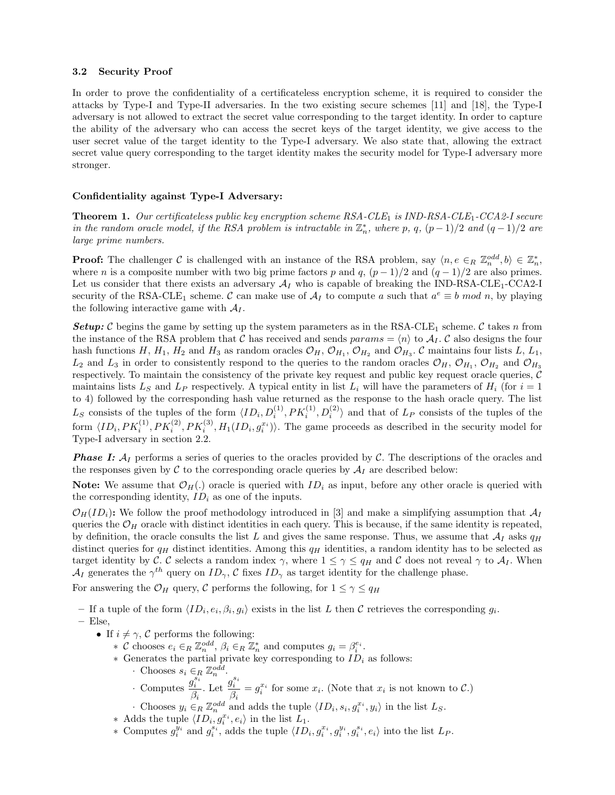### 3.2 Security Proof

In order to prove the confidentiality of a certificateless encryption scheme, it is required to consider the attacks by Type-I and Type-II adversaries. In the two existing secure schemes [11] and [18], the Type-I adversary is not allowed to extract the secret value corresponding to the target identity. In order to capture the ability of the adversary who can access the secret keys of the target identity, we give access to the user secret value of the target identity to the Type-I adversary. We also state that, allowing the extract secret value query corresponding to the target identity makes the security model for Type-I adversary more stronger.

### Confidentiality against Type-I Adversary:

**Theorem 1.** Our certificateless public key encryption scheme  $RSA-CLE_1$  is  $IND-RSA-CLE_1-CCA2-I$  secure in the random oracle model, if the RSA problem is intractable in  $\mathbb{Z}_n^*$ , where p, q,  $(p-1)/2$  and  $(q-1)/2$  are large prime numbers.

**Proof:** The challenger C is challenged with an instance of the RSA problem, say  $\langle n, e \in_R \mathbb{Z}_n^{odd}, b \rangle \in \mathbb{Z}_n^*$ , where n is a composite number with two big prime factors p and q,  $(p-1)/2$  and  $(q-1)/2$  are also primes. Let us consider that there exists an adversary  $A_I$  who is capable of breaking the IND-RSA-CLE<sub>1</sub>-CCA2-I security of the RSA-CLE<sub>1</sub> scheme. C can make use of  $A_I$  to compute a such that  $a^e \equiv b \mod n$ , by playing the following interactive game with  $A_I$ .

**Setup:** C begins the game by setting up the system parameters as in the RSA-CLE<sub>1</sub> scheme. C takes n from the instance of the RSA problem that C has received and sends  $params = \langle n \rangle$  to  $A_I$ . C also designs the four hash functions H,  $H_1$ ,  $H_2$  and  $H_3$  as random oracles  $\mathcal{O}_H$ ,  $\mathcal{O}_{H_1}$ ,  $\mathcal{O}_{H_2}$  and  $\mathcal{O}_{H_3}$ .  $\mathcal{C}$  maintains four lists  $L$ ,  $L_1$ ,  $L_2$  and  $L_3$  in order to consistently respond to the queries to the random oracles  $\mathcal{O}_H$ ,  $\mathcal{O}_{H_1}$ ,  $\mathcal{O}_{H_2}$  and  $\mathcal{O}_{H_3}$ respectively. To maintain the consistency of the private key request and public key request oracle queries, C maintains lists  $L_S$  and  $L_P$  respectively. A typical entity in list  $L_i$  will have the parameters of  $H_i$  (for  $i = 1$ ) to 4) followed by the corresponding hash value returned as the response to the hash oracle query. The list  $L_S$  consists of the tuples of the form  $\langle ID_i, D_i^{(1)}, PK_i^{(1)}, D_i^{(2)} \rangle$  and that of  $L_P$  consists of the tuples of the form  $\langle ID_i, PK_i^{(1)}, PK_i^{(2)}, PK_i^{(3)}, H_1(ID_i, g_i^{x_i})\rangle$ . The game proceeds as described in the security model for Type-I adversary in section 2.2.

**Phase I:**  $A_I$  performs a series of queries to the oracles provided by C. The descriptions of the oracles and the responses given by  $\mathcal C$  to the corresponding oracle queries by  $\mathcal A_I$  are described below:

**Note:** We assume that  $\mathcal{O}_H(.)$  oracle is queried with  $ID_i$  as input, before any other oracle is queried with the corresponding identity,  $ID_i$  as one of the inputs.

 $\mathcal{O}_H(ID_i):$  We follow the proof methodology introduced in [3] and make a simplifying assumption that  $\mathcal{A}_I$ queries the  $\mathcal{O}_H$  oracle with distinct identities in each query. This is because, if the same identity is repeated, by definition, the oracle consults the list L and gives the same response. Thus, we assume that  $\mathcal{A}_I$  asks  $q_H$ distinct queries for  $q_H$  distinct identities. Among this  $q_H$  identities, a random identity has to be selected as target identity by C. C selects a random index  $\gamma$ , where  $1 \leq \gamma \leq q_H$  and C does not reveal  $\gamma$  to  $\mathcal{A}_I$ . When  $\mathcal{A}_I$  generates the  $\gamma^{th}$  query on  $ID_{\gamma}$ , C fixes  $ID_{\gamma}$  as target identity for the challenge phase.

For answering the  $\mathcal{O}_H$  query, C performs the following, for  $1 \leq \gamma \leq q_H$ 

– If a tuple of the form  $\langle ID_i, e_i, \beta_i, g_i \rangle$  exists in the list L then C retrieves the corresponding  $g_i$ .

$$
-
$$
 Else,

- If  $i \neq \gamma$ , C performs the following:
	- ∗ C chooses  $e_i \in_R \mathbb{Z}_n^{odd}$ ,  $\beta_i \in_R \mathbb{Z}_n^*$  and computes  $g_i = \beta_i^{e_i}$ .
	- $*$  Generates the partial private key corresponding to  $ID_i$  as follows:
		- Chooses  $s_i \in_R \mathbb{Z}_n^{odd}$ .
		- · Computes  $g_i^{s_i}$  $\beta_i$ . Let  $\frac{g_i^{s_i}}{a}$  $\frac{g_i}{\beta_i} = g_i^{x_i}$  for some  $x_i$ . (Note that  $x_i$  is not known to  $\mathcal{C}$ .)
		- Chooses  $y_i \in_R \mathbb{Z}_n^{odd}$  and adds the tuple  $\langle ID_i, s_i, g_i^{x_i}, y_i \rangle$  in the list  $L_S$ .
	- ∗ Adds the tuple  $\langle ID_i, g_i^{x_i}, e_i \rangle$  in the list  $L_1$ .
	- ∗ Computes  $g_i^{y_i}$  and  $g_i^{s_i}$ , adds the tuple  $\langle ID_i, g_i^{x_i}, g_i^{y_i}, g_i^{s_i}, e_i \rangle$  into the list  $L_P$ .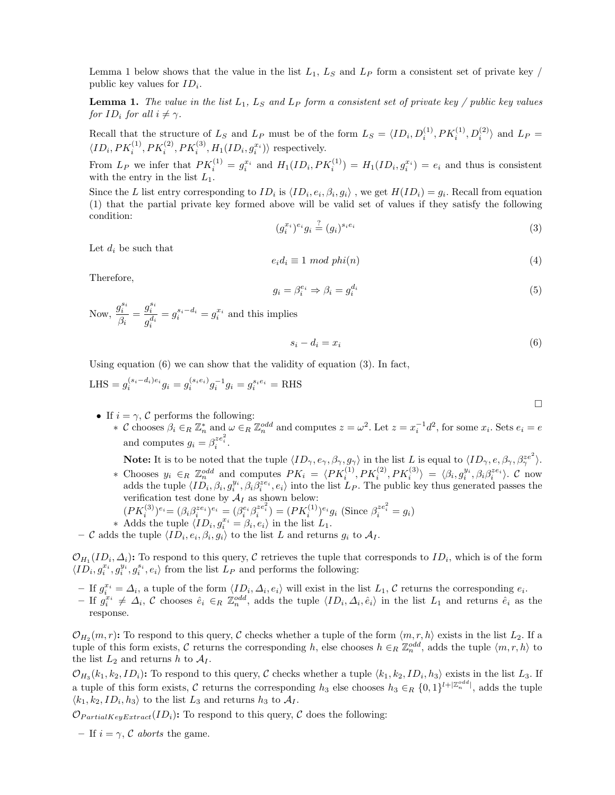Lemma 1 below shows that the value in the list  $L_1$ ,  $L_S$  and  $L_P$  form a consistent set of private key / public key values for  $ID_i$ .

**Lemma 1.** The value in the list  $L_1$ ,  $L_S$  and  $L_P$  form a consistent set of private key / public key values for  $ID_i$  for all  $i \neq \gamma$ .

Recall that the structure of  $L_S$  and  $L_P$  must be of the form  $L_S = \langle ID_i, D_i^{(1)}, PK_i^{(1)}, D_i^{(2)} \rangle$  and  $L_P =$  $\langle ID_i, PK_i^{(1)}, PK_i^{(2)}, PK_i^{(3)}, H_1(ID_i, g_i^{x_i}) \rangle$  respectively.

From  $L_P$  we infer that  $PK_i^{(1)} = g_i^{x_i}$  and  $H_1(ID_i, PK_i^{(1)}) = H_1(ID_i, g_i^{x_i}) = e_i$  and thus is consistent with the entry in the list  $L_1$ .

Since the L list entry corresponding to  $ID_i$  is  $\langle ID_i, e_i, \beta_i, g_i \rangle$ , we get  $H(ID_i) = g_i$ . Recall from equation (1) that the partial private key formed above will be valid set of values if they satisfy the following condition:

$$
(g_i^{x_i})^{e_i} g_i \stackrel{?}{=} (g_i)^{s_i e_i} \tag{3}
$$

Let  $d_i$  be such that

$$
e_i d_i \equiv 1 \mod phi(n) \tag{4}
$$

Therefore,

$$
g_i = \beta_i^{e_i} \Rightarrow \beta_i = g_i^{d_i} \tag{5}
$$

Now,  $\frac{g_i^{s_i}}{a}$  $\beta_i$  $= \frac{g_i^{s_i}}{g_i^{d_i}}$  $=g_i^{s_i-d_i}=g_i^{x_i}$  and this implies

$$
s_i - d_i = x_i \tag{6}
$$

Using equation (6) we can show that the validity of equation (3). In fact,

LHS = 
$$
g_i^{(s_i - d_i)e_i} g_i = g_i^{(s_i e_i)} g_i^{-1} g_i = g_i^{s_i e_i} =
$$
 RHS

- If  $i = \gamma$ , C performs the following:
	- ∗ C chooses  $\beta_i$  ∈<sub>R</sub>  $\mathbb{Z}_n^*$  and  $\omega$  ∈<sub>R</sub>  $\mathbb{Z}_n^{odd}$  and computes  $z = \omega^2$ . Let  $z = x_i^{-1}d^2$ , for some  $x_i$ . Sets  $e_i = e$ and computes  $g_i = \beta_i^{ze_i^2}$ .

**Note:** It is to be noted that the tuple  $\langle ID_{\gamma}, e_{\gamma}, \beta_{\gamma}, g_{\gamma} \rangle$  in the list L is equal to  $\langle ID_{\gamma}, e, \beta_{\gamma}, \beta_{\gamma}^{ze^2} \rangle$ .

- ∗ Chooses  $y_i$  ∈<sub>R</sub>  $\mathbb{Z}_n^{odd}$  and computes  $PK_i = \langle PK_i^{(1)}, PK_i^{(2)}, PK_i^{(3)} \rangle = \langle \beta_i, g_i^{y_i}, \beta_i \beta_i^{ze_i} \rangle$ . C now adds the tuple  $\langle ID_i, \beta_i, g_i^{y_i}, \beta_i \beta_i^{ze_i}, e_i \rangle$  into the list  $L_P$ . The public key thus generated passes the verification test done by  $\mathcal{A}_I$  as shown below:
	- $(PK_i^{(3)})^{e_i} = (\beta_i \beta_i^{ze_i})^{e_i} = (\beta_i^{e_i} \beta_i^{ze_i^2}) = (PK_i^{(1)})^{e_i}g_i$  (Since  $\beta_i^{ze_i^2} = g_i$ )
- ∗ Adds the tuple  $\langle ID_i, g_i^{x_i} = \beta_i, e_i \rangle$  in the list  $L_1$ .
- C adds the tuple  $\langle ID_i, e_i, \beta_i, g_i \rangle$  to the list L and returns  $g_i$  to  $\mathcal{A}_I$ .

 $\mathcal{O}_{H_1}(ID_i, \Delta_i)$ : To respond to this query, C retrieves the tuple that corresponds to  $ID_i$ , which is of the form  $\langle ID_i, g_i^{x_i}, g_i^{y_i}, g_i^{s_i}, e_i \rangle$  from the list  $L_P$  and performs the following:

- $-I$  If  $g_i^{x_i} = \Delta_i$ , a tuple of the form  $\langle ID_i, \Delta_i, e_i \rangle$  will exist in the list  $L_1$ , C returns the corresponding  $e_i$ .
- $-I$  if  $g_i^{x_i} \neq \Delta_i$ , C chooses  $\hat{e}_i \in_R \mathbb{Z}_n^{odd}$ , adds the tuple  $\langle ID_i, \Delta_i, \hat{e}_i \rangle$  in the list  $L_1$  and returns  $\hat{e}_i$  as the response.

 $\mathcal{O}_{H_2}(m,r)$ : To respond to this query, C checks whether a tuple of the form  $\langle m, r, h \rangle$  exists in the list  $L_2$ . If a tuple of this form exists, C returns the corresponding h, else chooses  $h \in_R \mathbb{Z}_n^{odd}$ , adds the tuple  $\langle m, r, h \rangle$  to the list  $L_2$  and returns h to  $\mathcal{A}_I$ .

 $\mathcal{O}_{H_3}(k_1, k_2, ID_i)$ : To respond to this query, C checks whether a tuple  $\langle k_1, k_2, ID_i, h_3 \rangle$  exists in the list  $L_3$ . If a tuple of this form exists, C returns the corresponding  $h_3$  else chooses  $h_3 \in_R \{0,1\}^{l+|\mathbb{Z}_n^{odd}|}$ , adds the tuple  $\langle k_1, k_2, ID_i, h_3 \rangle$  to the list  $L_3$  and returns  $h_3$  to  $\mathcal{A}_I$ .

 $\mathcal{O}_{PartialKeuExtract}(ID_i)$ : To respond to this query, C does the following:

– If  $i = \gamma$ , C aborts the game.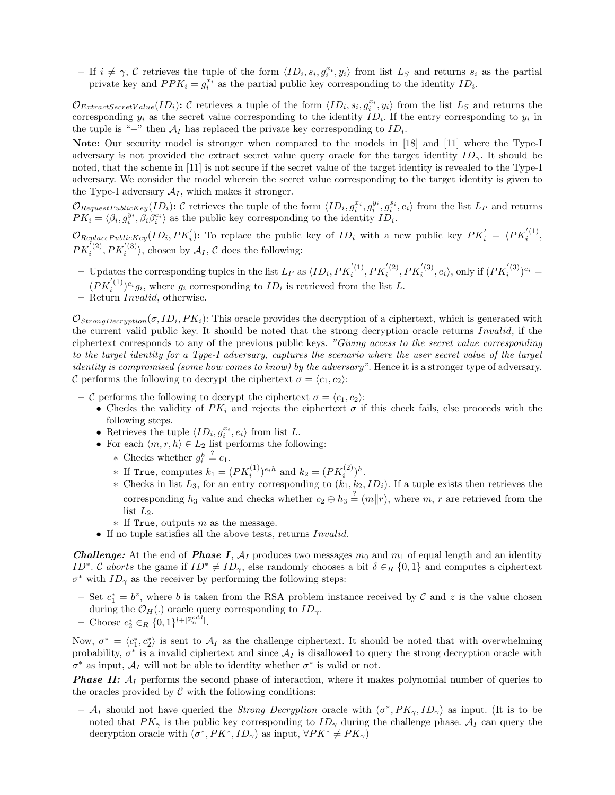$-I$  if  $i \neq \gamma$ , C retrieves the tuple of the form  $\langle ID_i, s_i, g_i^{x_i}, y_i \rangle$  from list  $L_S$  and returns  $s_i$  as the partial private key and  $PPK_i = g_i^{x_i}$  as the partial public key corresponding to the identity  $ID_i$ .

 $\mathcal{O}_{ExtractSecretValue}(ID_i):$  C retrieves a tuple of the form  $\langle ID_i, s_i, g_i^{x_i}, y_i \rangle$  from the list  $L_S$  and returns the corresponding  $y_i$  as the secret value corresponding to the identity  $ID_i$ . If the entry corresponding to  $y_i$  in the tuple is "−" then  $A_I$  has replaced the private key corresponding to  $ID_i$ .

Note: Our security model is stronger when compared to the models in [18] and [11] where the Type-I adversary is not provided the extract secret value query oracle for the target identity  $ID_{\gamma}$ . It should be noted, that the scheme in [11] is not secure if the secret value of the target identity is revealed to the Type-I adversary. We consider the model wherein the secret value corresponding to the target identity is given to the Type-I adversary  $A_I$ , which makes it stronger.

 $\mathcal{O}_{RequestPublicKey}(ID_i):$  C retrieves the tuple of the form  $\langle ID_i, g_i^{x_i}, g_i^{y_i}, g_i^{s_i}, e_i \rangle$  from the list  $L_P$  and returns  $PK_i = \langle \beta_i, g_i^{y_i}, \beta_i \beta_i^{e_i} \rangle$  as the public key corresponding to the identity  $ID_i$ .

 $\mathcal{O}_{ReplacePublicKey}(ID_i, PK_i')$ : To replace the public key of  $ID_i$  with a new public key  $PK_i' = \langle PK_i^{(1)},$  $PK_i^{(2)}, PK_i^{(3)}\rangle$ , chosen by  $\mathcal{A}_I$ , C does the following:

- Updates the corresponding tuples in the list  $L_P$  as  $\langle ID_i, PK_i^{'(1)}, PK_i^{'(2)}, PK_i^{'(3)}, e_i \rangle$ , only if  $(PK_i^{'(3)})^{e_i}$  =  $(PK_i^{(1)})^{e_i}g_i$ , where  $g_i$  corresponding to  $ID_i$  is retrieved from the list L.
- Return Invalid, otherwise.

 $\mathcal{O}_{StrongDecryption}(\sigma, ID_i, PK_i)$ : This oracle provides the decryption of a ciphertext, which is generated with the current valid public key. It should be noted that the strong decryption oracle returns Invalid, if the ciphertext corresponds to any of the previous public keys. "Giving access to the secret value corresponding to the target identity for a Type-I adversary, captures the scenario where the user secret value of the target identity is compromised (some how comes to know) by the adversary". Hence it is a stronger type of adversary. C performs the following to decrypt the ciphertext  $\sigma = \langle c_1, c_2 \rangle$ :

- C performs the following to decrypt the ciphertext  $\sigma = \langle c_1, c_2 \rangle$ :
	- Checks the validity of  $PK_i$  and rejects the ciphertext  $\sigma$  if this check fails, else proceeds with the following steps.
	- Retrieves the tuple  $\langle ID_i, g_i^{x_i}, e_i \rangle$  from list L.
	- For each  $\langle m, r, h \rangle \in L_2$  list performs the following:
		- $*$  Checks whether  $g_i^h$  $\stackrel{?}{=} c_1.$
		- ∗ If True, computes  $k_1 = (PK_i^{(1)})^{e_i h}$  and  $k_2 = (PK_i^{(2)})^h$ .
		- ∗ Checks in list  $L_3$ , for an entry corresponding to  $(k_1, k_2, ID_i)$ . If a tuple exists then retrieves the corresponding  $h_3$  value and checks whether  $c_2 \oplus h_3 \stackrel{?}{=} (m||r)$ , where  $m, r$  are retrieved from the list  $L_2$ .
		- $*$  If True, outputs m as the message.
	- If no tuple satisfies all the above tests, returns Invalid.

**Challenge:** At the end of **Phase I**,  $A_I$  produces two messages  $m_0$  and  $m_1$  of equal length and an identity ID<sup>∗</sup>. C aborts the game if  $ID^* \neq ID_\gamma$ , else randomly chooses a bit  $\delta \in_R \{0,1\}$  and computes a ciphertext  $\sigma^*$  with  $ID_{\gamma}$  as the receiver by performing the following steps:

- Set  $c_1^* = b^z$ , where b is taken from the RSA problem instance received by C and z is the value chosen during the  $\mathcal{O}_H(.)$  oracle query corresponding to  $ID_{\gamma}$ .
- Choose  $c_2^* \in_R \{0,1\}^{l+|\mathbb{Z}_n^{odd}|}$ .

Now,  $\sigma^* = \langle c_1^*, c_2^* \rangle$  is sent to  $\mathcal{A}_I$  as the challenge ciphertext. It should be noted that with overwhelming probability,  $\sigma^*$  is a invalid ciphertext and since  $\mathcal{A}_I$  is disallowed to query the strong decryption oracle with  $\sigma^*$  as input,  $\mathcal{A}_I$  will not be able to identity whether  $\sigma^*$  is valid or not.

**Phase II:**  $A_I$  performs the second phase of interaction, where it makes polynomial number of queries to the oracles provided by  $\mathcal C$  with the following conditions:

–  $\mathcal{A}_I$  should not have queried the *Strong Decryption* oracle with  $(\sigma^*, PK_\gamma, ID_\gamma)$  as input. (It is to be noted that  $PK_{\gamma}$  is the public key corresponding to  $ID_{\gamma}$  during the challenge phase.  $A_I$  can query the decryption oracle with  $(\sigma^*, PK^*, ID_{\gamma})$  as input,  $\forall PK^* \neq PK_{\gamma}$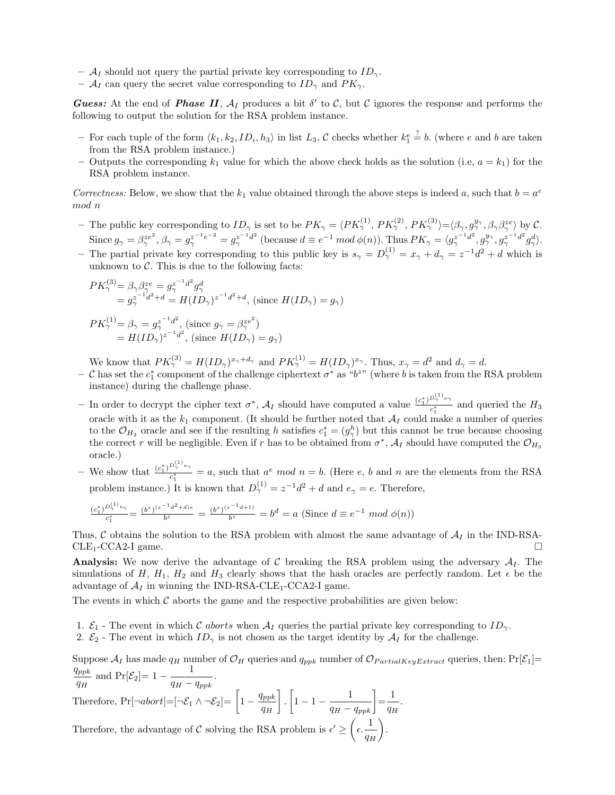- $A_I$  should not query the partial private key corresponding to  $ID_{\gamma}$ .
- $\mathcal{A}_I$  can query the secret value corresponding to  $ID_\gamma$  and  $PK_\gamma$ .

**Guess:** At the end of **Phase II**,  $A_I$  produces a bit  $\delta'$  to C, but C ignores the response and performs the following to output the solution for the RSA problem instance.

- For each tuple of the form  $\langle k_1, k_2, ID_i, h_3 \rangle$  in list  $L_3$ , C checks whether  $k_1^e$  $\stackrel{?}{=}$  b. (where e and b are taken from the RSA problem instance.)
- Outputs the corresponding  $k_1$  value for which the above check holds as the solution (i.e,  $a = k_1$ ) for the RSA problem instance.

Correctness: Below, we show that the  $k_1$  value obtained through the above steps is indeed a, such that  $b = a^e$ mod n

- The public key corresponding to  $ID_{\gamma}$  is set to be  $PK_{\gamma} = \langle PK_{\gamma}^{(1)}, PK_{\gamma}^{(2)}, PK_{\gamma}^{(3)} \rangle = \langle \beta_{\gamma}, g_{\gamma}^{y_{\gamma}}, \beta_{\gamma} \beta_{\gamma}^{ze} \rangle$  by C. Since  $g_{\gamma} = \beta_{\gamma}^{ze^2}$ ,  $\beta_{\gamma} = g_{\gamma}^{z^{-1}e^{-2}} = g_{\gamma}^{z^{-1}d^2}$  (because  $d \equiv e^{-1} \mod \phi(n)$ ). Thus  $PK_{\gamma} = \langle g_{\gamma}^{z^{-1}d^2}, g_{\gamma}^{y_{\gamma}}, g_{\gamma}^{z^{-1}d^2} g_{\gamma}^{d} \rangle$ .
- The partial private key corresponding to this public key is  $s_\gamma = D_\gamma^{(1)} = x_\gamma + d_\gamma = z^{-1}d^2 + d$  which is unknown to  $\mathcal{C}$ . This is due to the following facts:

$$
PK_{\gamma}^{(3)} = \beta_{\gamma} \beta_{\gamma}^{ze} = g_{\gamma}^{z^{-1}d^{2}} g_{\gamma}^{d}
$$
  
=  $g_{\gamma}^{z^{-1}d^{2}+d} = H(ID_{\gamma})^{z^{-1}d^{2}+d}$ , (since  $H(ID_{\gamma}) = g_{\gamma}$ )  

$$
PK_{\gamma}^{(1)} = \beta_{\gamma} = g_{\gamma}^{z^{-1}d^{2}}
$$
, (since  $g_{\gamma} = \beta_{\gamma}^{ze^{2}}$ )  
=  $H(ID_{\gamma})^{z^{-1}d^{2}}$ , (since  $H(ID_{\gamma}) = g_{\gamma}$ )

We know that  $PK_{\gamma}^{(3)} = H(ID_{\gamma})^{x_{\gamma}+d_{\gamma}}$  and  $PK_{\gamma}^{(1)} = H(ID_{\gamma})^{x_{\gamma}}$ . Thus,  $x_{\gamma} = d^2$  and  $d_{\gamma} = d$ .

- $-$  C has set the  $c_1^*$  component of the challenge ciphertext  $\sigma^*$  as " $b^{z}$ " (where b is taken from the RSA problem instance) during the challenge phase.
- In order to decrypt the cipher text  $\sigma^*$ ,  $\mathcal{A}_I$  should have computed a value  $\frac{(c_1^*)^{D_\gamma^{(1)}e_\gamma}}{c_1^*}$  $\frac{1}{c_1^*}$  and queried the  $H_3$ oracle with it as the  $k_1$  component. (It should be further noted that  $A_I$  could make a number of queries to the  $\mathcal{O}_{H_2}$  oracle and see if the resulting h satisfies  $c_1^* = (g_{\gamma}^h)$  but this cannot be true because choosing the correct r will be negligible. Even if r has to be obtained from  $\sigma^*$ ,  $\mathcal{A}_I$  should have computed the  $\mathcal{O}_{H_3}$ oracle.)
- We show that  $\frac{(c_1^*)^{D_\gamma^{(1)}} e_\gamma}{c^*}$  $\frac{1}{c_1^*}$  = a, such that  $a^e \mod n = b$ . (Here e, b and n are the elements from the RSA problem instance.) It is known that  $D_{\gamma}^{(1)} = z^{-1}d^2 + d$  and  $e_{\gamma} = e$ . Therefore,

$$
\frac{(c_1^*)^{D_{\gamma}^{(1)}e_{\gamma}}}{c_1^*} = \frac{(b^z)^{(z^{-1}d^2+d)e}}{b^z} = \frac{(b^z)^{(z^{-1}d+1)}}{b^z} = b^d = a \text{ (Since } d \equiv e^{-1} \mod \phi(n)
$$

Thus, C obtains the solution to the RSA problem with almost the same advantage of  $A_I$  in the IND-RSA-CLE<sub>1</sub>-CCA2-I game.  $CLE<sub>1</sub>-CCA2-I$  game.

Analysis: We now derive the advantage of C breaking the RSA problem using the adversary  $A<sub>I</sub>$ . The simulations of H,  $H_1$ ,  $H_2$  and  $H_3$  clearly shows that the hash oracles are perfectly random. Let  $\epsilon$  be the advantage of  $A_I$  in winning the IND-RSA-CLE<sub>1</sub>-CCA2-I game.

The events in which  $\mathcal C$  aborts the game and the respective probabilities are given below:

- 1.  $\mathcal{E}_1$  The event in which C aborts when  $\mathcal{A}_I$  queries the partial private key corresponding to  $ID_{\gamma}$ .
- 2.  $\mathcal{E}_2$  The event in which  $ID_\gamma$  is not chosen as the target identity by  $\mathcal{A}_I$  for the challenge.

Suppose  $A_I$  has made  $q_H$  number of  $\mathcal{O}_H$  queries and  $q_{ppk}$  number of  $\mathcal{O}_{PartialKeyExtract}$  queries, then:  $Pr[\mathcal{E}_1]=$  $q_{ppk}$  $rac{q_{ppk}}{q_H}$  and  $Pr[\mathcal{E}_2] = 1 - \frac{1}{q_H - q_{ppk}}$ .

Therefore,  $Pr[\neg abort] = [\neg \mathcal{E}_1 \land \neg \mathcal{E}_2] = \left[1 - \frac{q_{ppk}}{q_H}\right]$ ( .  $\left[1 - 1 - \frac{1}{q_H - q_{ppk}}\right] = \frac{1}{q_R}$  $\left[ \begin{array}{c} \end{array} \right]$  $\frac{1}{q_H}$ . \*

Therefore, the advantage of  $C$  solving the RSA problem is  $\epsilon' \geq$  $\left(\epsilon, \frac{1}{q_H}\right)$ .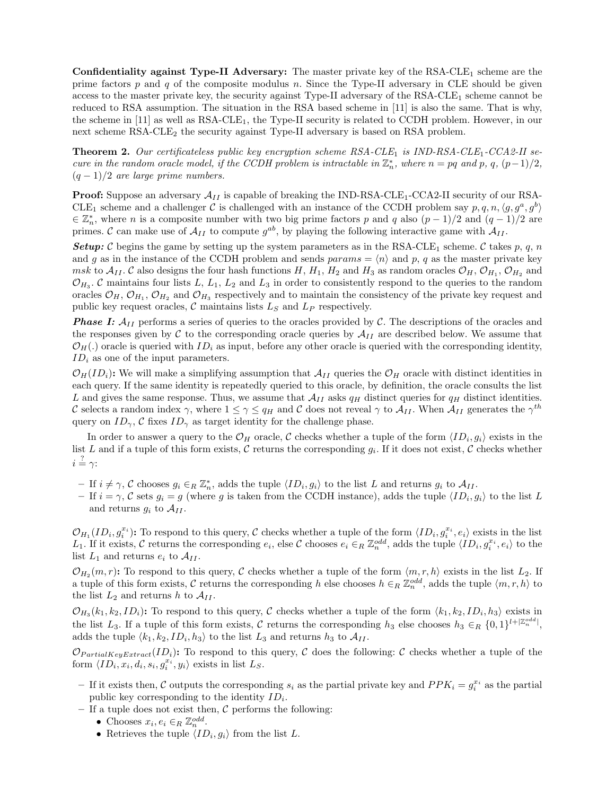Confidentiality against Type-II Adversary: The master private key of the  $RSA-CLE_1$  scheme are the prime factors  $p$  and  $q$  of the composite modulus  $n$ . Since the Type-II adversary in CLE should be given access to the master private key, the security against Type-II adversary of the RSA-CLE<sub>1</sub> scheme cannot be reduced to RSA assumption. The situation in the RSA based scheme in [11] is also the same. That is why, the scheme in  $[11]$  as well as  $RSA-CLE_1$ , the Type-II security is related to CCDH problem. However, in our next scheme RSA-CLE<sub>2</sub> the security against Type-II adversary is based on RSA problem.

**Theorem 2.** Our certificateless public key encryption scheme  $RSA-CLE_1$  is  $IND-RSA-CLE_1-CCA2-II$  secure in the random oracle model, if the CCDH problem is intractable in  $\mathbb{Z}_n^*$ , where  $n = pq$  and  $p, q, (p-1)/2$ ,  $(q-1)/2$  are large prime numbers.

**Proof:** Suppose an adversary  $\mathcal{A}_{II}$  is capable of breaking the IND-RSA-CLE<sub>1</sub>-CCA2-II security of our RSA-CLE<sub>1</sub> scheme and a challenger C is challenged with an instance of the CCDH problem say  $p, q, n, \langle g, g^a, g^b \rangle$  $\in \mathbb{Z}_n^*$ , where *n* is a composite number with two big prime factors *p* and *q* also  $(p-1)/2$  and  $(q-1)/2$  are primes. C can make use of  $\mathcal{A}_{II}$  to compute  $g^{ab}$ , by playing the following interactive game with  $\mathcal{A}_{II}$ .

**Setup:** C begins the game by setting up the system parameters as in the RSA-CLE<sub>1</sub> scheme. C takes p, q, n and g as in the instance of the CCDH problem and sends  $params = \langle n \rangle$  and p, q as the master private key msk to  $A_{II}$ . C also designs the four hash functions H,  $H_1$ ,  $H_2$  and  $H_3$  as random oracles  $\mathcal{O}_H$ ,  $\mathcal{O}_{H_1}$ ,  $\mathcal{O}_{H_2}$  and  $\mathcal{O}_{H_3}$ . C maintains four lists L, L<sub>1</sub>, L<sub>2</sub> and L<sub>3</sub> in order to consistently respond to the queries to the random oracles  $\mathcal{O}_H$ ,  $\mathcal{O}_{H_1}$ ,  $\mathcal{O}_{H_2}$  and  $\mathcal{O}_{H_3}$  respectively and to maintain the consistency of the private key request and public key request oracles,  $\mathcal C$  maintains lists  $L_S$  and  $L_P$  respectively.

**Phase I:**  $A_{II}$  performs a series of queries to the oracles provided by C. The descriptions of the oracles and the responses given by  $C$  to the corresponding oracle queries by  $A_{II}$  are described below. We assume that  $\mathcal{O}_H(.)$  oracle is queried with  $ID_i$  as input, before any other oracle is queried with the corresponding identity,  $ID_i$  as one of the input parameters.

 $\mathcal{O}_H(ID_i):$  We will make a simplifying assumption that  $\mathcal{A}_{II}$  queries the  $\mathcal{O}_H$  oracle with distinct identities in each query. If the same identity is repeatedly queried to this oracle, by definition, the oracle consults the list L and gives the same response. Thus, we assume that  $\mathcal{A}_{II}$  asks  $q_H$  distinct queries for  $q_H$  distinct identities. C selects a random index  $\gamma$ , where  $1 \leq \gamma \leq q_H$  and C does not reveal  $\gamma$  to  $\mathcal{A}_{II}$ . When  $\mathcal{A}_{II}$  generates the  $\gamma^{th}$ query on  $ID_{\gamma}$ , C fixes  $ID_{\gamma}$  as target identity for the challenge phase.

In order to answer a query to the  $\mathcal{O}_H$  oracle, C checks whether a tuple of the form  $\langle ID_i, g_i \rangle$  exists in the list L and if a tuple of this form exists, C returns the corresponding  $g_i$ . If it does not exist, C checks whether  $i \stackrel{?}{=} \gamma$ :

- $-$  If  $i \neq \gamma$ , C chooses  $g_i \in_R \mathbb{Z}_n^*$ , adds the tuple  $\langle ID_i, g_i \rangle$  to the list L and returns  $g_i$  to  $\mathcal{A}_{II}$ .
- If  $i = \gamma$ , C sets  $g_i = g$  (where g is taken from the CCDH instance), adds the tuple  $\langle ID_i, g_i \rangle$  to the list L and returns  $g_i$  to  $\mathcal{A}_{II}$ .

 $\mathcal{O}_{H_1}(ID_i, g_i^{x_i})$ : To respond to this query, C checks whether a tuple of the form  $\langle ID_i, g_i^{x_i}, e_i \rangle$  exists in the list  $L_1$ . If it exists, C returns the corresponding  $e_i$ , else C chooses  $e_i \in_R \mathbb{Z}_n^{odd}$ , adds the tuple  $\langle ID_i, g_i^{x_i}, e_i \rangle$  to the list  $L_1$  and returns  $e_i$  to  $\mathcal{A}_{II}$ .

 $\mathcal{O}_{H_2}(m,r)$ : To respond to this query, C checks whether a tuple of the form  $\langle m, r, h \rangle$  exists in the list  $L_2$ . If a tuple of this form exists, C returns the corresponding h else chooses  $h \in_R \mathbb{Z}_n^{odd}$ , adds the tuple  $\langle m, r, h \rangle$  to the list  $L_2$  and returns h to  $\mathcal{A}_{II}$ .

 $\mathcal{O}_{H_3}(k_1, k_2, ID_i)$ : To respond to this query, C checks whether a tuple of the form  $\langle k_1, k_2, ID_i, h_3 \rangle$  exists in the list  $L_3$ . If a tuple of this form exists, C returns the corresponding  $h_3$  else chooses  $h_3 \in_R \{0,1\}^{l+|\mathbb{Z}_n^{odd}|}$ , adds the tuple  $\langle k_1, k_2, ID_i, h_3 \rangle$  to the list  $L_3$  and returns  $h_3$  to  $\mathcal{A}_{II}$ .

 $\mathcal{O}_{PartialKeyExtract}(ID_i):$  To respond to this query, C does the following: C checks whether a tuple of the form  $\langle ID_i, x_i, d_i, s_i, g_i^{x_i}, y_i \rangle$  exists in list  $L_S$ .

- If it exists then, C outputs the corresponding  $s_i$  as the partial private key and  $PPK_i = g_i^{x_i}$  as the partial public key corresponding to the identity  $ID_i$ .
- If a tuple does not exist then,  $\mathcal C$  performs the following:
	- Chooses  $x_i, e_i \in_R \mathbb{Z}_n^{odd}$ .
	- Retrieves the tuple  $\langle ID_i, g_i \rangle$  from the list L.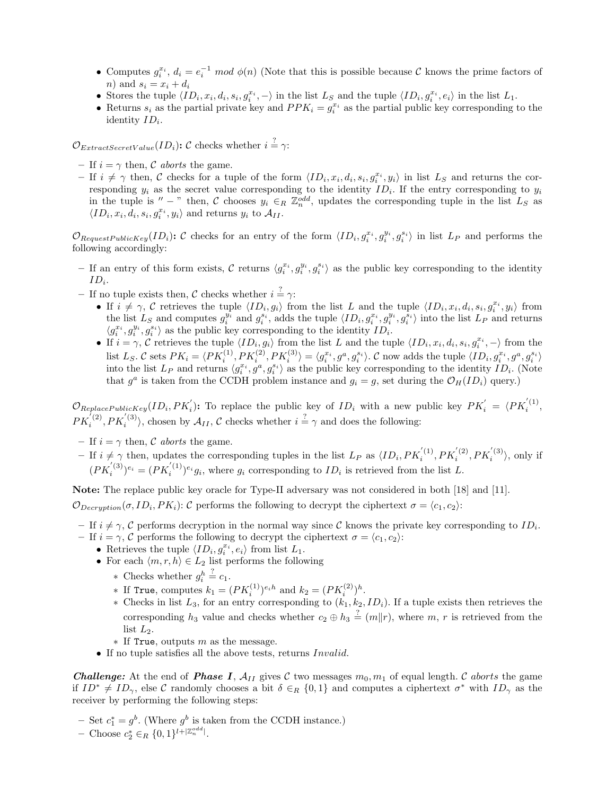- Computes  $g_i^{x_i}$ ,  $d_i = e_i^{-1} \mod \phi(n)$  (Note that this is possible because C knows the prime factors of *n*) and  $s_i = x_i + d_i$
- Stores the tuple  $\langle ID_i, x_i, d_i, s_i, g_i^{x_i}, \rangle$  in the list  $L_S$  and the tuple  $\langle ID_i, g_i^{x_i}, e_i \rangle$  in the list  $L_1$ .
- Returns  $s_i$  as the partial private key and  $PPK_i = g_i^{x_i}$  as the partial public key corresponding to the identity  $ID_i$ .

 $\mathcal{O}_{ExtractSecretValue}(ID_i)$ : C checks whether  $i = \gamma$ :

- If  $i = \gamma$  then, C aborts the game.
- $-$  If  $i \neq \gamma$  then, C checks for a tuple of the form  $\langle ID_i, x_i, d_i, s_i, g_i^{x_i}, y_i \rangle$  in list  $L_S$  and returns the corresponding  $y_i$  as the secret value corresponding to the identity  $ID_i$ . If the entry corresponding to  $y_i$ in the tuple is " - " then, C chooses  $y_i \in_R \mathbb{Z}_n^{odd}$ , updates the corresponding tuple in the list  $L_S$  as  $\langle ID_i, x_i, d_i, s_i, g_i^{x_i}, y_i \rangle$  and returns  $y_i$  to  $\mathcal{A}_{II}$ .

 $\mathcal{O}_{RequestPublicKey}(ID_i):$  C checks for an entry of the form  $\langle ID_i, g_i^{x_i}, g_i^{y_i}, g_i^{s_i} \rangle$  in list  $L_P$  and performs the following accordingly:

- If an entry of this form exists, C returns  $\langle g_i^{x_i}, g_i^{y_i}, g_i^{s_i} \rangle$  as the public key corresponding to the identity  $ID_i$ .
- If no tuple exists then, C checks whether  $i = \gamma$ :
	- If  $i \neq \gamma$ , C retrieves the tuple  $\langle ID_i, g_i \rangle$  from the list L and the tuple  $\langle ID_i, x_i, d_i, s_i, g_i^{x_i}, y_i \rangle$  from the list  $L_S$  and computes  $g_i^{y_i}$  and  $g_i^{s_i}$ , adds the tuple  $\langle ID_i, g_i^{x_i}, g_i^{y_i}, g_i^{s_i} \rangle$  into the list  $L_P$  and returns  $\langle g_i^{x_i}, g_i^{y_i}, g_i^{s_i} \rangle$  as the public key corresponding to the identity  $ID_i.$
	- If  $i = \gamma$ , C retrieves the tuple  $\langle ID_i, g_i \rangle$  from the list L and the tuple  $\langle ID_i, x_i, d_i, s_i, g_i^{x_i}, \rangle$  from the list  $L_S$ . C sets  $PK_i = \langle PK_i^{(1)}, PK_i^{(2)}, PK_i^{(3)} \rangle = \langle g_i^{x_i}, g^a, g_i^{s_i} \rangle$ . C now adds the tuple  $\langle ID_i, g_i^{x_i}, g^a, g_i^{s_i} \rangle$ <br>into the list  $L_P$  and returns  $\langle g_i^{x_i}, g^a, g_i^{s_i} \rangle$  as the public key corresponding to the identity  $ID_i$ that  $g^a$  is taken from the CCDH problem instance and  $g_i = g$ , set during the  $\mathcal{O}_H(ID_i)$  query.)

 $\mathcal{O}_{ReplacePublicKey}(ID_i, PK_i')$ : To replace the public key of  $ID_i$  with a new public key  $PK_i' = \langle PK_i^{(1)},$  $PK_i^{(2)}, PK_i^{(3)}$ , chosen by  $\mathcal{A}_{II}$ ,  $\mathcal C$  checks whether  $i = \gamma$  and does the following:

- If  $i = \gamma$  then, C aborts the game.
- $-I$  if  $i \neq \gamma$  then, updates the corresponding tuples in the list  $L_P$  as  $\langle ID_i, PK_i^{'(1)}, PK_i^{'(2)}, PK_i^{'(3)}\rangle$ , only if  $(PK_i^{(3)})^{e_i} = (PK_i^{(1)})^{e_i}g_i$ , where  $g_i$  corresponding to  $ID_i$  is retrieved from the list L.

Note: The replace public key oracle for Type-II adversary was not considered in both [18] and [11].  $\mathcal{O}_{Decryption}(\sigma, ID_i, PK_i):$  C performs the following to decrypt the ciphertext  $\sigma = \langle c_1, c_2 \rangle$ :

- If  $i \neq \gamma$ , C performs decryption in the normal way since C knows the private key corresponding to  $ID_i$ .
- If  $i = \gamma$ , C performs the following to decrypt the ciphertext  $\sigma = \langle c_1, c_2 \rangle$ :
	- Retrieves the tuple  $\langle ID_i, g_i^{x_i}, e_i \rangle$  from list  $L_1$ .
	- For each  $\langle m, r, h \rangle \in L_2$  list performs the following
		- $*$  Checks whether  $g_i^h$  $\stackrel{?}{=} c_1.$
		- ∗ If True, computes  $k_1 = (PK_i^{(1)})^{e_i h}$  and  $k_2 = (PK_i^{(2)})^h$ .
		- ∗ Checks in list  $L_3$ , for an entry corresponding to  $(k_1, k_2, ID_i)$ . If a tuple exists then retrieves the corresponding  $h_3$  value and checks whether  $c_2 \oplus h_3 \stackrel{?}{=} (m||r)$ , where  $m, r$  is retrieved from the list  $L_2$ .
		- $*$  If True, outputs m as the message.
	- If no tuple satisfies all the above tests, returns Invalid.

**Challenge:** At the end of **Phase I**,  $A_{II}$  gives C two messages  $m_0, m_1$  of equal length. C aborts the game if  $ID^* \neq ID_\gamma$ , else C randomly chooses a bit  $\delta \in_R \{0,1\}$  and computes a ciphertext  $\sigma^*$  with  $ID_\gamma$  as the receiver by performing the following steps:

- − Set  $c_1^* = g^b$ . (Where  $g^b$  is taken from the CCDH instance.)
- Choose  $c_2^*$  ∈<sub>R</sub> {0, 1}<sup>l+| $\mathbb{Z}_n^{odd}$ |.</sup>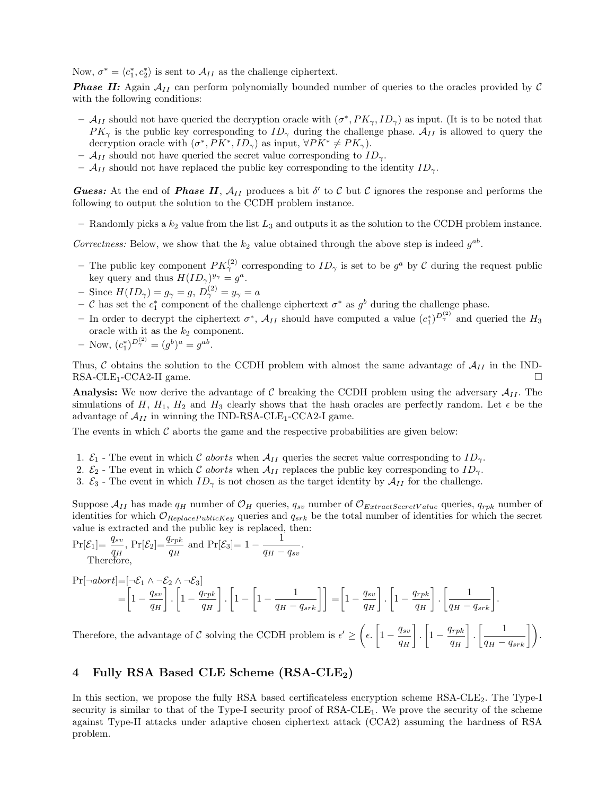Now,  $\sigma^* = \langle c_1^*, c_2^* \rangle$  is sent to  $\mathcal{A}_{II}$  as the challenge ciphertext.

**Phase II:** Again  $A_{II}$  can perform polynomially bounded number of queries to the oracles provided by  $C$ with the following conditions:

- $-$  A<sub>II</sub> should not have queried the decryption oracle with  $(\sigma^*, PK_\gamma, ID_\gamma)$  as input. (It is to be noted that  $PK_{\gamma}$  is the public key corresponding to  $ID_{\gamma}$  during the challenge phase.  $\mathcal{A}_{II}$  is allowed to query the decryption oracle with  $(\sigma^*, PK^*, ID_\gamma)$  as input,  $\forall PK^* \neq PK_\gamma$ .
- $\mathcal{A}_{II}$  should not have queried the secret value corresponding to  $ID_{\gamma}$ .
- $\mathcal{A}_{II}$  should not have replaced the public key corresponding to the identity  $ID_{\gamma}$ .

Guess: At the end of Phase II,  $A_{II}$  produces a bit  $\delta'$  to C but C ignores the response and performs the following to output the solution to the CCDH problem instance.

– Randomly picks a  $k_2$  value from the list  $L_3$  and outputs it as the solution to the CCDH problem instance.

Correctness: Below, we show that the  $k_2$  value obtained through the above step is indeed  $g^{ab}$ .

- The public key component  $PK_{\gamma}^{(2)}$  corresponding to  $ID_{\gamma}$  is set to be  $g^a$  by C during the request public key query and thus  $H(ID_{\gamma})^{y_{\gamma}} = q^{a}$ .
- Since  $H(ID_{\gamma}) = g_{\gamma} = g, D_{\gamma}^{(2)} = y_{\gamma} = a$
- $-$  C has set the  $c_1^*$  component of the challenge ciphertext  $\sigma^*$  as  $g^b$  during the challenge phase.
- In order to decrypt the ciphertext  $\sigma^*$ ,  $\mathcal{A}_{II}$  should have computed a value  $(c_1^*)^{D_γ^{(2)}}$  and queried the  $H_3$ oracle with it as the  $k_2$  component.
- $-$  Now,  $(c_1^*)^{D^{(2)}_\gamma} = (g^b)^a = g^{ab}$ .

Thus, C obtains the solution to the CCDH problem with almost the same advantage of  $A_{II}$  in the IND-RSA-CLE<sub>1</sub>-CCA2-II game  $RSA-CLE_1-CCA2-II$  game.

**Analysis:** We now derive the advantage of C breaking the CCDH problem using the adversary  $A_{II}$ . The simulations of H,  $H_1$ ,  $H_2$  and  $H_3$  clearly shows that the hash oracles are perfectly random. Let  $\epsilon$  be the advantage of  $A_{II}$  in winning the IND-RSA-CLE<sub>1</sub>-CCA2-I game.

The events in which  $\mathcal C$  aborts the game and the respective probabilities are given below:

- 1.  $\mathcal{E}_1$  The event in which C aborts when  $\mathcal{A}_{II}$  queries the secret value corresponding to  $ID_{\gamma}$ .
- 2.  $\mathcal{E}_2$  The event in which C aborts when  $\mathcal{A}_{II}$  replaces the public key corresponding to  $ID_{\gamma}$ .
- 3.  $\mathcal{E}_3$  The event in which  $ID_\gamma$  is not chosen as the target identity by  $\mathcal{A}_{II}$  for the challenge.

Suppose  $\mathcal{A}_{II}$  has made  $q_H$  number of  $\mathcal{O}_H$  queries,  $q_{sv}$  number of  $\mathcal{O}_{ExtractSecretValue}$  queries,  $q_{rpk}$  number of identities for which  $\mathcal{O}_{ReplacePublicKey}$  queries and  $q_{srk}$  be the total number of identities for which the secret value is extracted and the public key is replaced, then:

 $\Pr[\mathcal{E}_1] = \frac{q_{sv}}{q_H}, \Pr[\mathcal{E}_2] = \frac{q_{rpk}}{q_H}$  and  $\Pr[\mathcal{E}_3] = 1 - \frac{1}{q_H - q_{sv}}$ . Therefore,

$$
\begin{aligned} \Pr[\neg abort] & = [\neg \mathcal{E}_1 \land \neg \mathcal{E}_2 \land \neg \mathcal{E}_3] \\ & = \left[1 - \frac{q_{sv}}{q_H}\right]. \left[1 - \frac{q_{rpk}}{q_H}\right]. \left[1 - \left[1 - \frac{1}{q_H - q_{srk}}\right]\right] \\ & = \left[1 - \frac{q_{sv}}{q_H}\right]. \left[1 - \frac{q_{rpk}}{q_H}\right]. \left[1 - \frac{q_{rpk}}{q_H}\right]. \left[\frac{1}{q_H - q_{srk}}\right]. \end{aligned}
$$

Therefore, the advantage of  $\mathcal C$  solving the CCDH problem is  $\epsilon' \geq$  $\sqrt{2}$  $\epsilon$ .  $\left[1-\frac{q_{sv}}{q_H}\right]$ |<br>| ( .  $\left[1-\frac{q_{rpk}}{q_H}\right]$ |<br>| (  $\cdot \left[ \frac{1}{q_H-q_{srk}} \right]$  $\bigg| \bigg)$ .

# 4 Fully RSA Based CLE Scheme (RSA-CLE<sub>2</sub>)

In this section, we propose the fully RSA based certificateless encryption scheme RSA-CLE<sub>2</sub>. The Type-I security is similar to that of the Type-I security proof of RSA-CLE1. We prove the security of the scheme against Type-II attacks under adaptive chosen ciphertext attack (CCA2) assuming the hardness of RSA problem.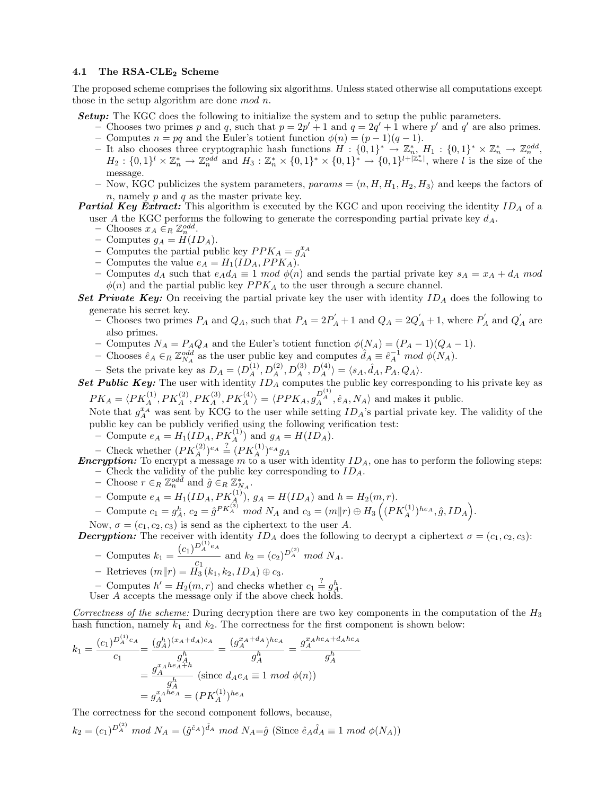### 4.1 The RSA-CLE<sub>2</sub> Scheme

The proposed scheme comprises the following six algorithms. Unless stated otherwise all computations except those in the setup algorithm are done mod n.

**Setup:** The KGC does the following to initialize the system and to setup the public parameters.

- Chooses two primes p and q, such that  $p = 2p' + 1$  and  $q = 2q' + 1$  where p' and q' are also primes. – Computes  $n = pq$  and the Euler's totient function  $\phi(n) = (p-1)(q-1)$ .
- It also chooses three cryptographic hash functions  $H : \{0,1\}^* \to \mathbb{Z}_n^*, H_1 : \{0,1\}^* \times \mathbb{Z}_n^* \to \mathbb{Z}_n^{odd}$  $H_2: \{0,1\}^l \times \mathbb{Z}_n^* \to \mathbb{Z}_n^{odd}$  and  $H_3: \mathbb{Z}_n^* \times \{0,1\}^* \times \{0,1\}^* \to \{0,1\}^{l+|\mathbb{Z}_n^*|}$ , where l is the size of the message.
- Now, KGC publicizes the system parameters,  $params = \langle n, H, H_1, H_2, H_3 \rangle$  and keeps the factors of n, namely  $p$  and  $q$  as the master private key.
- **Partial Key Extract:** This algorithm is executed by the KGC and upon receiving the identity  $ID_A$  of a user A the KGC performs the following to generate the corresponding partial private key  $d_A$ .
	- $-$  Chooses  $x_A \in_R \mathbb{Z}_n^{odd}$ .
	- Computes  $g_A = H(ID_A)$ .
	- Computes the partial public key  $PPK_A = g_A^{x_A}$
	- Computes the value  $e_A = H_1(ID_A, PPK_A)$ .
	- Computes  $d_A$  such that  $e_A d_A \equiv 1 \mod \phi(n)$  and sends the partial private key  $s_A = x_A + d_A \mod$  $\phi(n)$  and the partial public key  $PPK_A$  to the user through a secure channel.
- Set Private Key: On receiving the partial private key the user with identity  $ID<sub>A</sub>$  does the following to generate his secret key.
	- Chooses two primes  $P_A$  and  $Q_A$ , such that  $P_A = 2P'_A + 1$  and  $Q_A = 2Q'_A + 1$ , where  $P'_A$  and  $Q'_A$  are also primes.
	- Computes  $N_A = P_A Q_A$  and the Euler's totient function  $\phi(N_A) = (P_A 1)(Q_A 1)$ .
	- − Chooses  $\hat{e}_A \in_R \mathbb{Z}_{N_A}^{odd}$  as the user public key and computes  $\hat{d}_A \equiv \hat{e}_A^{-1} \mod \phi(N_A)$ .
	- Sets the private key as  $D_A = \langle D_A^{(1)}, D_A^{(2)}, D_A^{(3)}, D_A^{(4)} \rangle = \langle s_A, \hat{d}_A, P_A, Q_A \rangle$ .
- Set Public Key: The user with identity  $ID_A$  computes the public key corresponding to his private key as  $PK_A = \langle PK_A^{(1)}, PK_A^{(2)}, PK_A^{(3)}, PK_A^{(4)} \rangle = \langle PPK_A, g_A^{D_A^{(1)}}, \hat{e}_A, N_A \rangle$  and makes it public.

Note that  $g_A^{x_A}$  was sent by KCG to the user while setting  $ID_A$ 's partial private key. The validity of the public key can be publicly verified using the following verification test:

- Compute  $e_A = H_1(ID_A, PK_A^{(1)})$  and  $g_A = H(ID_A)$ .

- Check whether  $(PK_A^{(2)})^{e_A} \stackrel{?}{=} (PK_A^{(1)})^{e_A}g_A$ 

**Encryption:** To encrypt a message m to a user with identity  $ID_A$ , one has to perform the following steps: – Check the validity of the public key corresponding to  $ID_A$ .

- Choose  $r \in_R \mathbb{Z}_n^{odd}$  and  $\hat{g} \in_R \mathbb{Z}_{N_A}^*$ .
- Compute  $e_A = H_1(ID_A, PK_A^{(1)}), g_A = H(ID_A)$  and  $h = H_2(m, r)$ .
- − Compute  $c_1 = g_A^h$ ,  $c_2 = \hat{g}^{PK_A^{(3)}}$  mod  $N_A$  and  $c_3 = (m||r) \oplus H_3((PK_A^{(1)})^{he_A}, \hat{g}, ID_A)$ .

Now,  $\sigma = (c_1, c_2, c_3)$  is send as the ciphertext to the user A.

**Decryption:** The receiver with identity  $ID_A$  does the following to decrypt a ciphertext  $\sigma = (c_1, c_2, c_3)$ :

- Computes  $k_1 = \frac{(c_1)^{D_A^{(1)}e_A}}{2}$  $c_1$  and  $k_2 = (c_2)^{D_A^{(2)}}$  mod  $N_A$ .
- Retrieves  $(m||r) = H_3(k_1, k_2, ID_A) \oplus c_3.$
- Computes  $h' = H_2(m, r)$  and checks whether  $c_1 \stackrel{?}{=} g_A^h$ . User A accepts the message only if the above check holds.
- 

Correctness of the scheme: During decryption there are two key components in the computation of the  $H_3$ hash function, namely  $k_1$  and  $k_2$ . The correctness for the first component is shown below:

$$
k_1 = \frac{(c_1)^{D_A^{(1)}e_A}}{c_1} = \frac{(g_A^h)^{(x_A + d_A)e_A}}{g_A^h} = \frac{(g_A^{x_A + d_A})^{he_A}}{g_A^h} = \frac{g_A^{x_Ahe_A + d_Ahe_A}}{g_A^h}
$$

$$
= \frac{g_A^{x_Ahe_A + h}}{g_A^h} \text{ (since } d_Ae_A \equiv 1 \mod \phi(n))
$$

$$
= g_A^{x_Ahe_A} = (PK_A^{(1)})^{he_A}
$$

The correctness for the second component follows, because,

 $k_2 = (c_1)^{D_A^{(2)}} \mod N_A = (\hat{g}^{\hat{e}_A})^{\hat{d}_A} \mod N_A = \hat{g}$  (Since  $\hat{e}_A \hat{d}_A \equiv 1 \mod \phi(N_A)$ )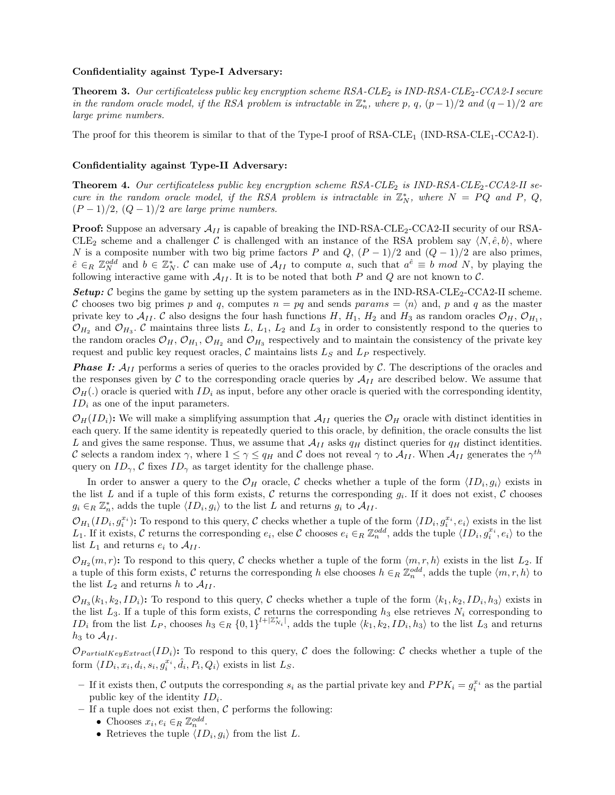#### Confidentiality against Type-I Adversary:

**Theorem 3.** Our certificateless public key encryption scheme  $RSA\text{-}CLE_2$  is  $IND\text{-}RSA\text{-}CLE_2\text{-}CCA2\text{-}I$  secure in the random oracle model, if the RSA problem is intractable in  $\mathbb{Z}_n^*$ , where p, q,  $(p-1)/2$  and  $(q-1)/2$  are large prime numbers.

The proof for this theorem is similar to that of the Type-I proof of  $RSA-CLE_1$  (IND- $RSA-CLE_1-CCA2-I$ ).

#### Confidentiality against Type-II Adversary:

**Theorem 4.** Our certificateless public key encryption scheme  $RSA-CLE_2$  is  $IND-RSA-CLE_2-CCA2-II$  secure in the random oracle model, if the RSA problem is intractable in  $\mathbb{Z}_N^*$ , where  $N = PQ$  and P, Q,  $(P-1)/2$ ,  $(Q-1)/2$  are large prime numbers.

**Proof:** Suppose an adversary  $\mathcal{A}_{II}$  is capable of breaking the IND-RSA-CLE<sub>2</sub>-CCA2-II security of our RSA-CLE<sub>2</sub> scheme and a challenger C is challenged with an instance of the RSA problem say  $\langle N, \hat{e}, b \rangle$ , where N is a composite number with two big prime factors P and  $Q$ ,  $(P-1)/2$  and  $(Q-1)/2$  are also primes,  $\hat{e} \in_R \mathbb{Z}_N^{odd}$  and  $b \in \mathbb{Z}_N^*$ . C can make use of  $\mathcal{A}_{II}$  to compute a, such that  $a^{\hat{e}} \equiv b \mod N$ , by playing the following interactive game with  $\mathcal{A}_{II}$ . It is to be noted that both P and Q are not known to C.

**Setup:**  $\mathcal{C}$  begins the game by setting up the system parameters as in the IND-RSA-CLE<sub>2</sub>-CCA2-II scheme. C chooses two big primes p and q, computes  $n = pq$  and sends params  $= \langle n \rangle$  and, p and q as the master private key to  $\mathcal{A}_{II}$ . C also designs the four hash functions H, H<sub>1</sub>, H<sub>2</sub> and H<sub>3</sub> as random oracles  $\mathcal{O}_H$ ,  $\mathcal{O}_{H_1}$ ,  $\mathcal{O}_{H_2}$  and  $\mathcal{O}_{H_3}$ . C maintains three lists L, L<sub>1</sub>, L<sub>2</sub> and L<sub>3</sub> in order to consistently respond to the queries to the random oracles  $\mathcal{O}_H$ ,  $\mathcal{O}_{H_1}$ ,  $\mathcal{O}_{H_2}$  and  $\mathcal{O}_{H_3}$  respectively and to maintain the consistency of the private key request and public key request oracles,  $C$  maintains lists  $L_S$  and  $L_P$  respectively.

**Phase I:**  $A_{II}$  performs a series of queries to the oracles provided by C. The descriptions of the oracles and the responses given by C to the corresponding oracle queries by  $A_{II}$  are described below. We assume that  $\mathcal{O}_H(.)$  oracle is queried with  $ID_i$  as input, before any other oracle is queried with the corresponding identity,  $ID_i$  as one of the input parameters.

 $\mathcal{O}_H(ID_i):$  We will make a simplifying assumption that  $\mathcal{A}_{II}$  queries the  $\mathcal{O}_H$  oracle with distinct identities in each query. If the same identity is repeatedly queried to this oracle, by definition, the oracle consults the list L and gives the same response. Thus, we assume that  $\mathcal{A}_{II}$  asks  $q_H$  distinct queries for  $q_H$  distinct identities. C selects a random index  $\gamma$ , where  $1 \leq \gamma \leq q_H$  and C does not reveal  $\gamma$  to  $\mathcal{A}_{II}$ . When  $\mathcal{A}_{II}$  generates the  $\gamma^{th}$ query on  $ID_{\gamma}$ , C fixes  $ID_{\gamma}$  as target identity for the challenge phase.

In order to answer a query to the  $\mathcal{O}_H$  oracle, C checks whether a tuple of the form  $\langle ID_i, g_i \rangle$  exists in the list L and if a tuple of this form exists, C returns the corresponding  $g_i$ . If it does not exist, C chooses  $g_i \in_R \mathbb{Z}_n^*$ , adds the tuple  $\langle ID_i, g_i \rangle$  to the list L and returns  $g_i$  to  $\mathcal{A}_{II}$ .

 $\mathcal{O}_{H_1}(ID_i, g_i^{x_i})$ : To respond to this query, C checks whether a tuple of the form  $\langle ID_i, g_i^{x_i}, e_i \rangle$  exists in the list L<sub>1</sub>. If it exists, C returns the corresponding  $e_i$ , else C chooses  $e_i \in_R \mathbb{Z}_n^{odd}$ , adds the tuple  $\langle ID_i, g_i^{x_i}, e_i \rangle$  to the list  $L_1$  and returns  $e_i$  to  $\mathcal{A}_{II}$ .

 $\mathcal{O}_H$ <sub>2</sub> (m, r): To respond to this query, C checks whether a tuple of the form  $\langle m, r, h \rangle$  exists in the list  $L_2$ . If a tuple of this form exists, C returns the corresponding h else chooses  $h \in_R \mathbb{Z}_n^{odd}$ , adds the tuple  $\langle m, r, h \rangle$  to the list  $L_2$  and returns h to  $\mathcal{A}_{II}$ .

 $\mathcal{O}_{H_3}(k_1, k_2, ID_i)$ : To respond to this query, C checks whether a tuple of the form  $\langle k_1, k_2, ID_i, h_3 \rangle$  exists in the list  $L_3$ . If a tuple of this form exists, C returns the corresponding  $h_3$  else retrieves  $N_i$  corresponding to ID<sub>i</sub> from the list  $L_P$ , chooses  $h_3 \in_R \{0,1\}^{l+|\mathbb{Z}_{N_i}^*|}$ , adds the tuple  $\langle k_1, k_2, ID_i, h_3 \rangle$  to the list  $L_3$  and returns  $h_3$  to  $\mathcal{A}_{II}$ .

 $\mathcal{O}_{PartialKeyExtract}(ID_i):$  To respond to this query, C does the following: C checks whether a tuple of the form  $\langle ID_i, x_i, d_i, s_i, g_i^{x_i}, \hat{d}_i, P_i, Q_i \rangle$  exists in list  $L_S$ .

- If it exists then, C outputs the corresponding  $s_i$  as the partial private key and  $PPK_i = g_i^{x_i}$  as the partial public key of the identity  $ID_i$ .
- If a tuple does not exist then,  $\mathcal C$  performs the following:
	- Chooses  $x_i, e_i \in_R \mathbb{Z}_n^{odd}$ .
	- Retrieves the tuple  $\langle ID_i, g_i \rangle$  from the list L.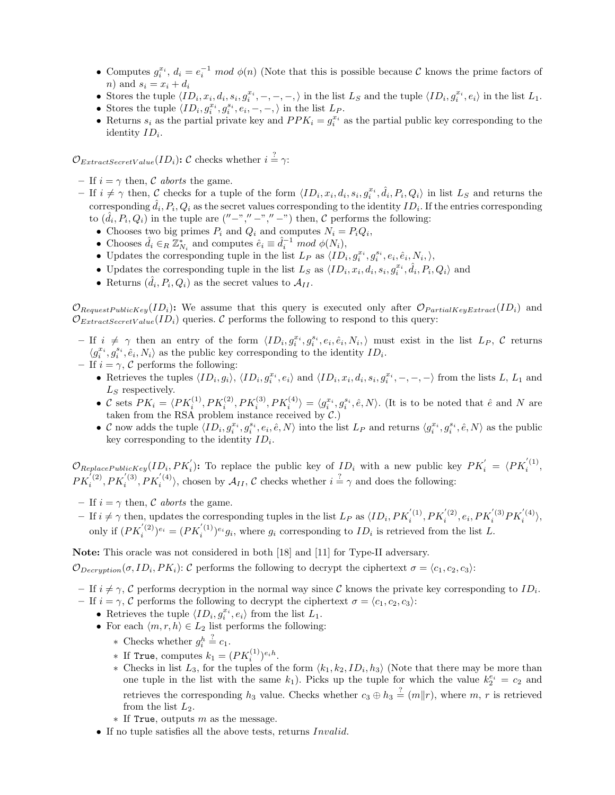- Computes  $g_i^{x_i}$ ,  $d_i = e_i^{-1} \mod \phi(n)$  (Note that this is possible because C knows the prime factors of n) and  $s_i = x_i + d_i$
- Stores the tuple  $\langle ID_i, x_i, d_i, s_i, g_i^{x_i}, -, -, -, \rangle$  in the list  $L_S$  and the tuple  $\langle ID_i, g_i^{x_i}, e_i \rangle$  in the list  $L_1$ .
- Stores the tuple  $\langle ID_i, g_i^{x_i}, g_i^{s_i}, e_i, -, -, \rangle$  in the list  $L_P$ .
- Returns  $s_i$  as the partial private key and  $PPK_i = g_i^{x_i}$  as the partial public key corresponding to the identity  $ID_i$ .

 $\mathcal{O}_{ExtractSecretValue}(ID_i)$ : C checks whether  $i = \gamma$ :

- If  $i = \gamma$  then, C aborts the game.
- $-$  If  $i \neq \gamma$  then, C checks for a tuple of the form  $\langle ID_i, x_i, d_i, s_i, g_i^{x_i}, \hat{d}_i, P_i, Q_i \rangle$  in list  $L_S$  and returns the corresponding  $\hat{d}_i, P_i, Q_i$  as the secret values corresponding to the identity  $ID_i$ . If the entries corresponding to  $(\hat{d}_i, P_i, Q_i)$  in the tuple are  $("-"," -", " -")$  then,  $C$  performs the following:
	- Chooses two big primes  $P_i$  and  $Q_i$  and computes  $N_i = P_i Q_i$ ,
	- Chooses  $\hat{d}_i \in_R \mathbb{Z}_{N_i}^*$  and computes  $\hat{e}_i \equiv \hat{d}_i^{-1} \mod \phi(N_i)$ ,
	- Updates the corresponding tuple in the list  $L_P$  as  $\langle ID_i, g_i^{x_i}, g_i^{s_i}, e_i, \hat{e}_i, N_i, \rangle$ ,
	- Updates the corresponding tuple in the list  $L_S$  as  $\langle ID_i, x_i, d_i, s_i, g_i^{x_i}, \hat{d}_i, P_i, Q_i \rangle$  and
	- Returns  $(\hat{d}_i, P_i, Q_i)$  as the secret values to  $\mathcal{A}_{II}$ .

 $\mathcal{O}_{RequestPublicKey}(ID_i):$  We assume that this query is executed only after  $\mathcal{O}_{PartialKeyExtract}(ID_i)$  and  $\mathcal{O}_{ExtractSecretValue}(ID_i)$  queries. C performs the following to respond to this query:

- $-I$  if  $i \neq \gamma$  then an entry of the form  $\langle ID_i, g_i^{x_i}, g_i^{s_i}, e_i, \hat{e}_i, N_i, \rangle$  must exist in the list  $L_P$ , C returns  $\langle g_i^{x_i}, g_i^{s_i}, \hat{e}_i, N_i \rangle$  as the public key corresponding to the identity  $ID_i.$
- If  $i = \gamma$ , C performs the following:
	- Retrieves the tuples  $\langle ID_i, g_i \rangle$ ,  $\langle ID_i, g_i^x, e_i \rangle$  and  $\langle ID_i, x_i, d_i, s_i, g_i^{x_i}, -, -, \rangle$  from the lists L, L<sub>1</sub> and  $L<sub>S</sub>$  respectively.
	- C sets  $PK_i = \langle PK_i^{(1)}, PK_i^{(2)}, PK_i^{(3)}, PK_i^{(4)} \rangle = \langle g_i^{x_i}, g_i^{s_i}, \hat{e}, N \rangle$ . (It is to be noted that  $\hat{e}$  and N are taken from the RSA problem instance received by  $C$ .)
	- C now adds the tuple  $\langle ID_i, g_i^{x_i}, g_i^{s_i}, e_i, \hat{e}, N \rangle$  into the list  $L_P$  and returns  $\langle g_i^{x_i}, g_i^{s_i}, \hat{e}, N \rangle$  as the public key corresponding to the identity  $ID_i$ .

 $\mathcal{O}_{ReplacePublicKey}(ID_i, PK_i')$ : To replace the public key of  $ID_i$  with a new public key  $PK_i' = \langle PK_i^{(1)},$  $PK_i^{(2)}, PK_i^{(3)}, PK_i^{(4)}\rangle$ , chosen by  $\mathcal{A}_{II}$ , C checks whether  $i = \gamma$  and does the following:

- If  $i=\gamma$  then,  $\mathcal C$   $\emph{aborts}$  the game.
- $-I$  if  $i \neq \gamma$  then, updates the corresponding tuples in the list  $L_P$  as  $\langle ID_i, PK_i^{(1)}, PK_i^{(2)}, e_i, PK_i^{(3)} PK_i^{(4)}\rangle$ , only if  $(PK_i^{(2)})^{e_i} = (PK_i^{(1)})^{e_i}g_i$ , where  $g_i$  corresponding to  $ID_i$  is retrieved from the list L.

Note: This oracle was not considered in both [18] and [11] for Type-II adversary.

 $\mathcal{O}_{Decryption}(\sigma, ID_i, PK_i):$  C performs the following to decrypt the ciphertext  $\sigma = \langle c_1, c_2, c_3 \rangle$ :

– If  $i \neq \gamma$ , C performs decryption in the normal way since C knows the private key corresponding to  $ID_i$ .

- If  $i = \gamma$ , C performs the following to decrypt the ciphertext  $\sigma = \langle c_1, c_2, c_3 \rangle$ :
	- Retrieves the tuple  $\langle ID_i, g_i^{x_i}, e_i \rangle$  from the list  $L_1$ .
	- For each  $\langle m, r, h \rangle \in L_2$  list performs the following:
		- $*$  Checks whether  $g_i^h$  $\stackrel{?}{=} c_1.$
		- \* If True, computes  $k_1 = (PK_i^{(1)})^{e_i h}$ .
		- ∗ Checks in list  $L_3$ , for the tuples of the form  $\langle k_1, k_2, ID_i, h_3 \rangle$  (Note that there may be more than one tuple in the list with the same  $k_1$ ). Picks up the tuple for which the value  $k_2^{e_i} = c_2$  and retrieves the corresponding  $h_3$  value. Checks whether  $c_3 \oplus h_3 \stackrel{?}{=} (m||r)$ , where  $m, r$  is retrieved from the list  $L_2$ .
		- $*$  If True, outputs m as the message.
	- If no tuple satisfies all the above tests, returns Invalid.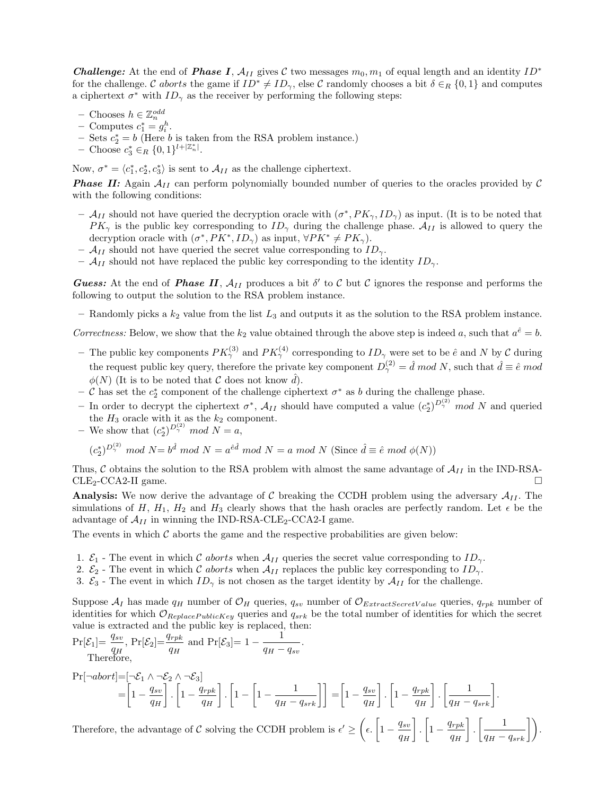**Challenge:** At the end of **Phase I**,  $A_{II}$  gives C two messages  $m_0, m_1$  of equal length and an identity  $ID^*$ for the challenge. C aborts the game if  $ID^* \neq ID_{\gamma}$ , else C randomly chooses a bit  $\delta \in_R \{0,1\}$  and computes a ciphertext  $\sigma^*$  with  $ID_{\gamma}$  as the receiver by performing the following steps:

- Chooses  $h \in \mathbb{Z}_n^{odd}$
- $\text{-}$  Computes  $c_1^* = g_i^h$ .
- − Sets  $c_2^* = b$  (Here b is taken from the RSA problem instance.)
- Choose  $c_3^*$  ∈<sub>R</sub> {0, 1}<sup>*l*+| $\mathbb{Z}_n^*$ |</sup>.

Now,  $\sigma^* = \langle c_1^*, c_2^*, c_3^* \rangle$  is sent to  $\mathcal{A}_{II}$  as the challenge ciphertext.

**Phase II:** Again  $A_{II}$  can perform polynomially bounded number of queries to the oracles provided by  $C$ with the following conditions:

- $-$  A<sub>II</sub> should not have queried the decryption oracle with  $(\sigma^*, PK_\gamma, ID_\gamma)$  as input. (It is to be noted that  $PK_{\gamma}$  is the public key corresponding to  $ID_{\gamma}$  during the challenge phase.  $\mathcal{A}_{II}$  is allowed to query the decryption oracle with  $(\sigma^*, PK^*, ID_\gamma)$  as input,  $\forall PK^* \neq PK_\gamma$ .
- $\mathcal{A}_{II}$  should not have queried the secret value corresponding to  $ID_{\gamma}$ .
- $\mathcal{A}_{II}$  should not have replaced the public key corresponding to the identity  $ID_{\gamma}$ .

**Guess:** At the end of **Phase II**,  $A_{II}$  produces a bit  $\delta'$  to C but C ignores the response and performs the following to output the solution to the RSA problem instance.

– Randomly picks a  $k_2$  value from the list  $L_3$  and outputs it as the solution to the RSA problem instance.

Correctness: Below, we show that the  $k_2$  value obtained through the above step is indeed a, such that  $a^{\hat{e}} = b$ .

- The public key components  $PK_{\gamma}^{(3)}$  and  $PK_{\gamma}^{(4)}$  corresponding to  $ID_{\gamma}$  were set to be  $\hat{e}$  and N by C during the request public key query, therefore the private key component  $D_{\gamma}^{(2)} = \hat{d} \mod N$ , such that  $\hat{d} \equiv \hat{e} \mod N$  $\phi(N)$  (It is to be noted that  $\mathcal C$  does not know  $\hat d$ ).
- $-$  C has set the  $c_2^*$  component of the challenge ciphertext  $\sigma^*$  as b during the challenge phase.
- In order to decrypt the ciphertext  $\sigma^*$ ,  $\mathcal{A}_{II}$  should have computed a value  $(c_2^*)^{D^{(2)}_\gamma}$  mod N and queried the  $H_3$  oracle with it as the  $k_2$  component.
- We show that  $(c_2^*)^{D^{(2)}_\gamma} \mod N = a$ ,

$$
(c_2^*)^{D^{(2)}_\gamma} \mod N = b^{\hat{d}} \mod N = a^{\hat{e}\hat{d}} \mod N = a \mod N \text{ (Since } \hat{d} \equiv \hat{e} \mod \phi(N))
$$

Thus, C obtains the solution to the RSA problem with almost the same advantage of  $A_{II}$  in the IND-RSA-CLE<sub>2</sub>-CCA2-II game.  $CLE<sub>2</sub>-CCA2-II$  game.

Analysis: We now derive the advantage of C breaking the CCDH problem using the adversary  $A_{II}$ . The simulations of H,  $H_1$ ,  $H_2$  and  $H_3$  clearly shows that the hash oracles are perfectly random. Let  $\epsilon$  be the advantage of  $\mathcal{A}_{II}$  in winning the IND-RSA-CLE<sub>2</sub>-CCA2-I game.

The events in which  $C$  aborts the game and the respective probabilities are given below:

- 1.  $\mathcal{E}_1$  The event in which C aborts when  $\mathcal{A}_{II}$  queries the secret value corresponding to  $ID_{\gamma}$ .
- 2.  $\mathcal{E}_2$  The event in which C aborts when  $\mathcal{A}_{II}$  replaces the public key corresponding to  $ID_{\gamma}$ .
- 3.  $\mathcal{E}_3$  The event in which  $ID_\gamma$  is not chosen as the target identity by  $\mathcal{A}_{II}$  for the challenge.

Suppose  $A_I$  has made  $q_H$  number of  $\mathcal{O}_H$  queries,  $q_{sv}$  number of  $\mathcal{O}_{ExtractSecretValue}$  queries,  $q_{rpk}$  number of identities for which  $\mathcal{O}_{ReplacePublicKey}$  queries and  $q_{srk}$  be the total number of identities for which the secret value is extracted and the public key is replaced, then:

$$
\Pr[\mathcal{E}_1] = \frac{q_{sv}}{q_H}, \Pr[\mathcal{E}_2] = \frac{q_{rpk}}{q_H} \text{ and } \Pr[\mathcal{E}_3] = 1 - \frac{1}{q_H - q_{sv}}.
$$
  
Therefore,

$$
\Pr[\neg abort] = \left[\neg \mathcal{E}_1 \land \neg \mathcal{E}_2 \land \neg \mathcal{E}_3\right] \\
= \left[1 - \frac{q_{sp}}{q_H}\right] \cdot \left[1 - \frac{q_{rpk}}{q_H}\right] \cdot \left[1 - \left[1 - \frac{1}{q_H - q_{srk}}\right]\right] \\
= \left[1 - \frac{q_{sv}}{q_H}\right] \cdot \left[1 - \frac{q_{rpk}}{q_H}\right] \cdot \left[\frac{1}{q_H - q_{srk}}\right].
$$

Therefore, the advantage of  $\mathcal C$  solving the CCDH problem is  $\epsilon' \geq$  $\sqrt{2}$  $\epsilon$ .  $\left[1-\frac{q_{sv}}{q_H}\right]$ |<br>| ( .  $\left[1-\frac{q_{rpk}}{q_H}\right]$ |<br>| (  $\cdot \left[ \frac{1}{q_H-q_{srk}} \right]$  $\bigg| \bigg)$ .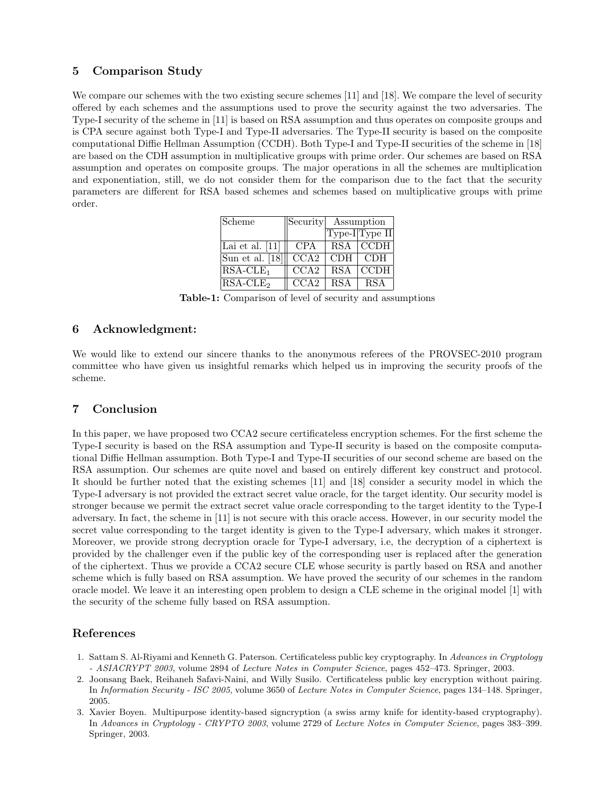# 5 Comparison Study

We compare our schemes with the two existing secure schemes [11] and [18]. We compare the level of security offered by each schemes and the assumptions used to prove the security against the two adversaries. The Type-I security of the scheme in [11] is based on RSA assumption and thus operates on composite groups and is CPA secure against both Type-I and Type-II adversaries. The Type-II security is based on the composite computational Diffie Hellman Assumption (CCDH). Both Type-I and Type-II securities of the scheme in [18] are based on the CDH assumption in multiplicative groups with prime order. Our schemes are based on RSA assumption and operates on composite groups. The major operations in all the schemes are multiplication and exponentiation, still, we do not consider them for the comparison due to the fact that the security parameters are different for RSA based schemes and schemes based on multiplicative groups with prime order.

| Scheme            | Security           | Assumption |                |
|-------------------|--------------------|------------|----------------|
|                   |                    |            | Type-I Type II |
| Lai et al. $[11]$ | <b>CPA</b>         |            | RSA CCDH       |
| Sun et al. [18]   | $\overline{CC}$ A2 | CDH.       | CDH.           |
| $RSA-CLE_1$       | CCA2               | <b>RSA</b> | <b>CCDH</b>    |
| $RSA-CLE2$        | CCA2               | <b>RSA</b> | <b>RSA</b>     |

Table-1: Comparison of level of security and assumptions

# 6 Acknowledgment:

We would like to extend our sincere thanks to the anonymous referees of the PROVSEC-2010 program committee who have given us insightful remarks which helped us in improving the security proofs of the scheme.

# 7 Conclusion

In this paper, we have proposed two CCA2 secure certificateless encryption schemes. For the first scheme the Type-I security is based on the RSA assumption and Type-II security is based on the composite computational Diffie Hellman assumption. Both Type-I and Type-II securities of our second scheme are based on the RSA assumption. Our schemes are quite novel and based on entirely different key construct and protocol. It should be further noted that the existing schemes [11] and [18] consider a security model in which the Type-I adversary is not provided the extract secret value oracle, for the target identity. Our security model is stronger because we permit the extract secret value oracle corresponding to the target identity to the Type-I adversary. In fact, the scheme in [11] is not secure with this oracle access. However, in our security model the secret value corresponding to the target identity is given to the Type-I adversary, which makes it stronger. Moreover, we provide strong decryption oracle for Type-I adversary, i.e, the decryption of a ciphertext is provided by the challenger even if the public key of the corresponding user is replaced after the generation of the ciphertext. Thus we provide a CCA2 secure CLE whose security is partly based on RSA and another scheme which is fully based on RSA assumption. We have proved the security of our schemes in the random oracle model. We leave it an interesting open problem to design a CLE scheme in the original model [1] with the security of the scheme fully based on RSA assumption.

# References

- 1. Sattam S. Al-Riyami and Kenneth G. Paterson. Certificateless public key cryptography. In *Advances in Cryptology - ASIACRYPT 2003*, volume 2894 of *Lecture Notes in Computer Science*, pages 452–473. Springer, 2003.
- 2. Joonsang Baek, Reihaneh Safavi-Naini, and Willy Susilo. Certificateless public key encryption without pairing. In *Information Security - ISC 2005*, volume 3650 of *Lecture Notes in Computer Science*, pages 134–148. Springer, 2005.
- 3. Xavier Boyen. Multipurpose identity-based signcryption (a swiss army knife for identity-based cryptography). In *Advances in Cryptology - CRYPTO 2003*, volume 2729 of *Lecture Notes in Computer Science*, pages 383–399. Springer, 2003.